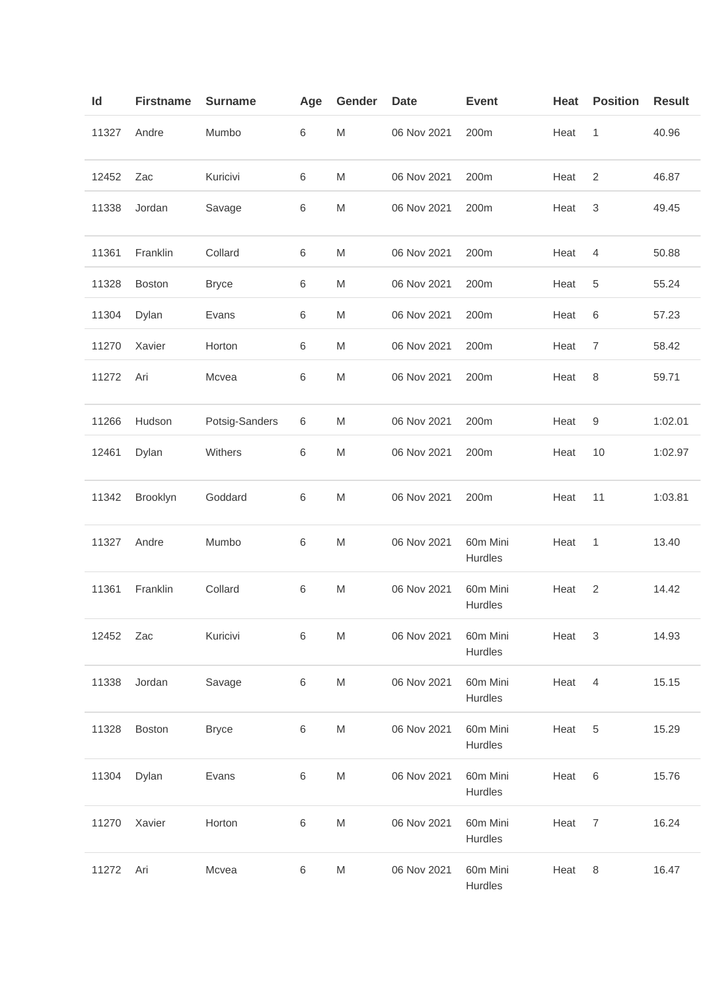| ld    | <b>Firstname</b> | <b>Surname</b> | Age | Gender    | Date        | <b>Event</b>        | Heat | <b>Position</b> | <b>Result</b> |
|-------|------------------|----------------|-----|-----------|-------------|---------------------|------|-----------------|---------------|
| 11327 | Andre            | Mumbo          | 6   | M         | 06 Nov 2021 | 200m                | Heat | 1               | 40.96         |
| 12452 | Zac              | Kuricivi       | 6   | M         | 06 Nov 2021 | 200m                | Heat | $\overline{2}$  | 46.87         |
| 11338 | Jordan           | Savage         | 6   | M         | 06 Nov 2021 | 200m                | Heat | 3               | 49.45         |
| 11361 | Franklin         | Collard        | 6   | M         | 06 Nov 2021 | 200m                | Heat | 4               | 50.88         |
| 11328 | <b>Boston</b>    | <b>Bryce</b>   | 6   | M         | 06 Nov 2021 | 200m                | Heat | 5               | 55.24         |
| 11304 | Dylan            | Evans          | 6   | M         | 06 Nov 2021 | 200m                | Heat | 6               | 57.23         |
| 11270 | Xavier           | Horton         | 6   | M         | 06 Nov 2021 | 200m                | Heat | $\overline{7}$  | 58.42         |
| 11272 | Ari              | Mcvea          | 6   | M         | 06 Nov 2021 | 200m                | Heat | 8               | 59.71         |
| 11266 | Hudson           | Potsig-Sanders | 6   | M         | 06 Nov 2021 | 200m                | Heat | 9               | 1:02.01       |
| 12461 | Dylan            | Withers        | 6   | M         | 06 Nov 2021 | 200m                | Heat | 10              | 1:02.97       |
| 11342 | Brooklyn         | Goddard        | 6   | M         | 06 Nov 2021 | 200m                | Heat | 11              | 1:03.81       |
| 11327 | Andre            | Mumbo          | 6   | M         | 06 Nov 2021 | 60m Mini<br>Hurdles | Heat | 1               | 13.40         |
| 11361 | Franklin         | Collard        | 6   | ${\sf M}$ | 06 Nov 2021 | 60m Mini<br>Hurdles | Heat | $\overline{2}$  | 14.42         |
| 12452 | Zac              | Kuricivi       | 6   | M         | 06 Nov 2021 | 60m Mini<br>Hurdles | Heat | 3               | 14.93         |
| 11338 | Jordan           | Savage         | 6   | ${\sf M}$ | 06 Nov 2021 | 60m Mini<br>Hurdles | Heat | $\overline{4}$  | 15.15         |
| 11328 | Boston           | <b>Bryce</b>   | 6   | M         | 06 Nov 2021 | 60m Mini<br>Hurdles | Heat | 5               | 15.29         |
| 11304 | Dylan            | Evans          | 6   | M         | 06 Nov 2021 | 60m Mini<br>Hurdles | Heat | 6               | 15.76         |
| 11270 | Xavier           | Horton         | 6   | M         | 06 Nov 2021 | 60m Mini<br>Hurdles | Heat | $\overline{7}$  | 16.24         |
| 11272 | Ari              | Mcvea          | 6   | M         | 06 Nov 2021 | 60m Mini<br>Hurdles | Heat | 8               | 16.47         |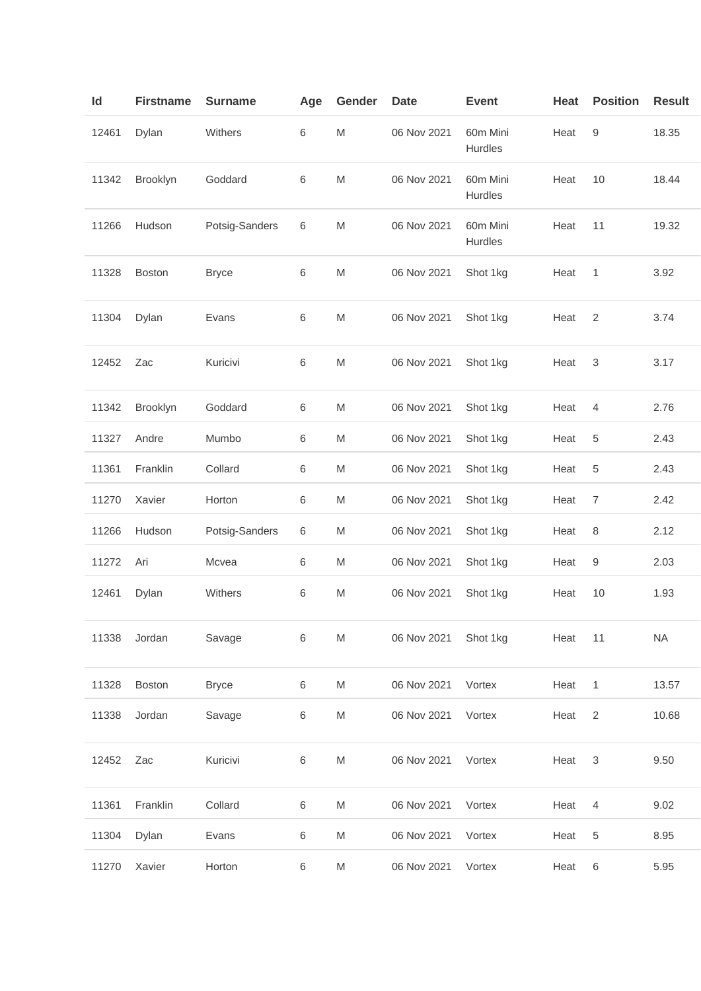| Id    | <b>Firstname</b> | <b>Surname</b> | Age   | Gender    | <b>Date</b> | <b>Event</b>        | Heat | <b>Position</b> | <b>Result</b> |
|-------|------------------|----------------|-------|-----------|-------------|---------------------|------|-----------------|---------------|
| 12461 | Dylan            | Withers        | 6     | M         | 06 Nov 2021 | 60m Mini<br>Hurdles | Heat | 9               | 18.35         |
| 11342 | Brooklyn         | Goddard        | 6     | M         | 06 Nov 2021 | 60m Mini<br>Hurdles | Heat | 10              | 18.44         |
| 11266 | Hudson           | Potsig-Sanders | 6     | M         | 06 Nov 2021 | 60m Mini<br>Hurdles | Heat | 11              | 19.32         |
| 11328 | Boston           | <b>Bryce</b>   | 6     | M         | 06 Nov 2021 | Shot 1kg            | Heat | 1               | 3.92          |
| 11304 | Dylan            | Evans          | 6     | M         | 06 Nov 2021 | Shot 1kg            | Heat | $\overline{2}$  | 3.74          |
| 12452 | Zac              | Kuricivi       | 6     | M         | 06 Nov 2021 | Shot 1kg            | Heat | 3               | 3.17          |
| 11342 | Brooklyn         | Goddard        | $\,6$ | M         | 06 Nov 2021 | Shot 1kg            | Heat | 4               | 2.76          |
| 11327 | Andre            | Mumbo          | 6     | M         | 06 Nov 2021 | Shot 1kg            | Heat | 5               | 2.43          |
| 11361 | Franklin         | Collard        | 6     | M         | 06 Nov 2021 | Shot 1kg            | Heat | 5               | 2.43          |
| 11270 | Xavier           | Horton         | 6     | M         | 06 Nov 2021 | Shot 1kg            | Heat | $\overline{7}$  | 2.42          |
| 11266 | Hudson           | Potsig-Sanders | 6     | M         | 06 Nov 2021 | Shot 1kg            | Heat | 8               | 2.12          |
| 11272 | Ari              | Mcvea          | 6     | M         | 06 Nov 2021 | Shot 1kg            | Heat | 9               | 2.03          |
| 12461 | Dylan            | Withers        | 6     | M         | 06 Nov 2021 | Shot 1kg            | Heat | 10              | 1.93          |
| 11338 | Jordan           | Savage         | 6     | M         | 06 Nov 2021 | Shot 1kg            | Heat | 11              | <b>NA</b>     |
| 11328 | Boston           | <b>Bryce</b>   | 6     | ${\sf M}$ | 06 Nov 2021 | Vortex              | Heat | $\mathbf{1}$    | 13.57         |
| 11338 | Jordan           | Savage         | 6     | M         | 06 Nov 2021 | Vortex              | Heat | $\overline{2}$  | 10.68         |
| 12452 | Zac              | Kuricivi       | 6     | M         | 06 Nov 2021 | Vortex              | Heat | 3               | 9.50          |
| 11361 | Franklin         | Collard        | 6     | M         | 06 Nov 2021 | Vortex              | Heat | 4               | 9.02          |
| 11304 | Dylan            | Evans          | 6     | M         | 06 Nov 2021 | Vortex              | Heat | 5               | 8.95          |
| 11270 | Xavier           | Horton         | 6     | M         | 06 Nov 2021 | Vortex              | Heat | 6               | 5.95          |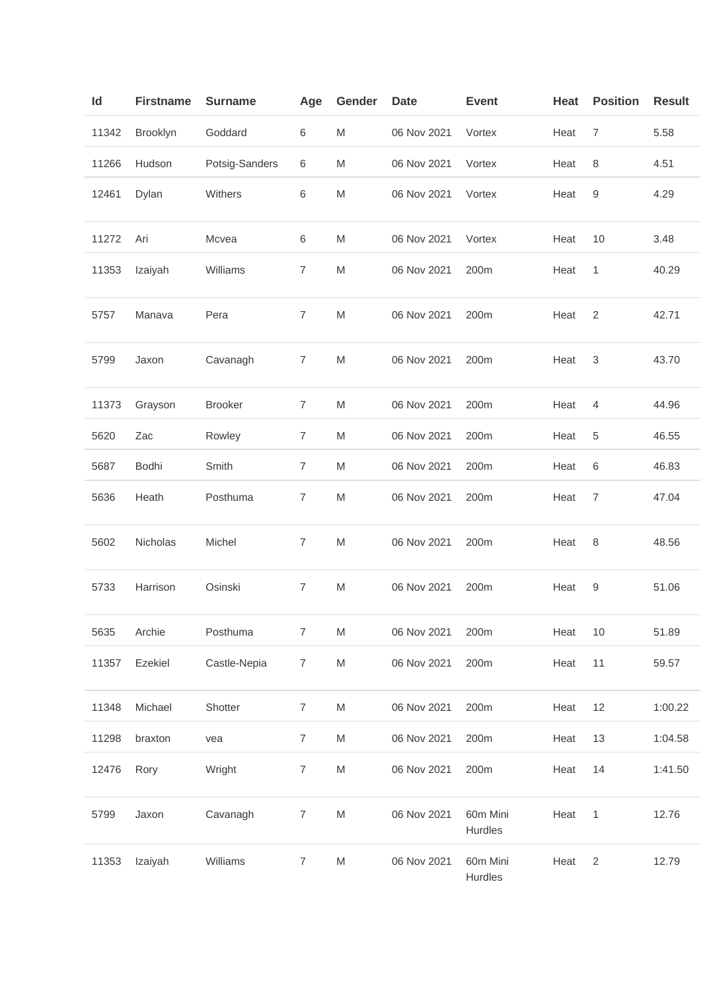| $\mathsf{Id}$ | <b>Firstname</b> | <b>Surname</b> | Age            | Gender                                                                                                     | <b>Date</b> | <b>Event</b>        | Heat | <b>Position</b>  | <b>Result</b> |
|---------------|------------------|----------------|----------------|------------------------------------------------------------------------------------------------------------|-------------|---------------------|------|------------------|---------------|
| 11342         | Brooklyn         | Goddard        | 6              | M                                                                                                          | 06 Nov 2021 | Vortex              | Heat | $\overline{7}$   | 5.58          |
| 11266         | Hudson           | Potsig-Sanders | 6              | M                                                                                                          | 06 Nov 2021 | Vortex              | Heat | 8                | 4.51          |
| 12461         | Dylan            | Withers        | 6              | ${\sf M}$                                                                                                  | 06 Nov 2021 | Vortex              | Heat | $\boldsymbol{9}$ | 4.29          |
| 11272         | Ari              | Mcvea          | $\,6$          | M                                                                                                          | 06 Nov 2021 | Vortex              | Heat | 10               | 3.48          |
| 11353         | Izaiyah          | Williams       | $\overline{7}$ | M                                                                                                          | 06 Nov 2021 | 200m                | Heat | 1                | 40.29         |
| 5757          | Manava           | Pera           | $\overline{7}$ | M                                                                                                          | 06 Nov 2021 | 200m                | Heat | $\overline{2}$   | 42.71         |
| 5799          | Jaxon            | Cavanagh       | $\overline{7}$ | M                                                                                                          | 06 Nov 2021 | 200m                | Heat | 3                | 43.70         |
| 11373         | Grayson          | <b>Brooker</b> | $\overline{7}$ | ${\sf M}$                                                                                                  | 06 Nov 2021 | 200m                | Heat | 4                | 44.96         |
| 5620          | Zac              | Rowley         | $\overline{7}$ | $\mathsf{M}% _{T}=\mathsf{M}_{T}\!\left( a,b\right) ,\ \mathsf{M}_{T}=\mathsf{M}_{T}\!\left( a,b\right) ,$ | 06 Nov 2021 | 200m                | Heat | 5                | 46.55         |
| 5687          | Bodhi            | Smith          | $\overline{7}$ | $\mathsf{M}% _{T}=\mathsf{M}_{T}\!\left( a,b\right) ,\ \mathsf{M}_{T}=\mathsf{M}_{T}\!\left( a,b\right) ,$ | 06 Nov 2021 | 200m                | Heat | 6                | 46.83         |
| 5636          | Heath            | Posthuma       | $\overline{7}$ | M                                                                                                          | 06 Nov 2021 | 200m                | Heat | $\boldsymbol{7}$ | 47.04         |
| 5602          | Nicholas         | Michel         | $\overline{7}$ | M                                                                                                          | 06 Nov 2021 | 200m                | Heat | 8                | 48.56         |
| 5733          | Harrison         | Osinski        | $\overline{7}$ | M                                                                                                          | 06 Nov 2021 | 200m                | Heat | 9                | 51.06         |
| 5635          | Archie           | Posthuma       | $\overline{7}$ | M                                                                                                          | 06 Nov 2021 | 200m                | Heat | 10               | 51.89         |
| 11357         | Ezekiel          | Castle-Nepia   | $\overline{7}$ | M                                                                                                          | 06 Nov 2021 | 200m                | Heat | 11               | 59.57         |
| 11348         | Michael          | Shotter        | $\overline{7}$ | M                                                                                                          | 06 Nov 2021 | 200m                | Heat | 12               | 1:00.22       |
| 11298         | braxton          | vea            | $\overline{7}$ | M                                                                                                          | 06 Nov 2021 | 200m                | Heat | 13               | 1:04.58       |
| 12476         | Rory             | Wright         | $\overline{7}$ | M                                                                                                          | 06 Nov 2021 | 200m                | Heat | 14               | 1:41.50       |
| 5799          | Jaxon            | Cavanagh       | $\overline{7}$ | M                                                                                                          | 06 Nov 2021 | 60m Mini<br>Hurdles | Heat | $\mathbf{1}$     | 12.76         |
| 11353         | Izaiyah          | Williams       | 7              | M                                                                                                          | 06 Nov 2021 | 60m Mini<br>Hurdles | Heat | $\overline{2}$   | 12.79         |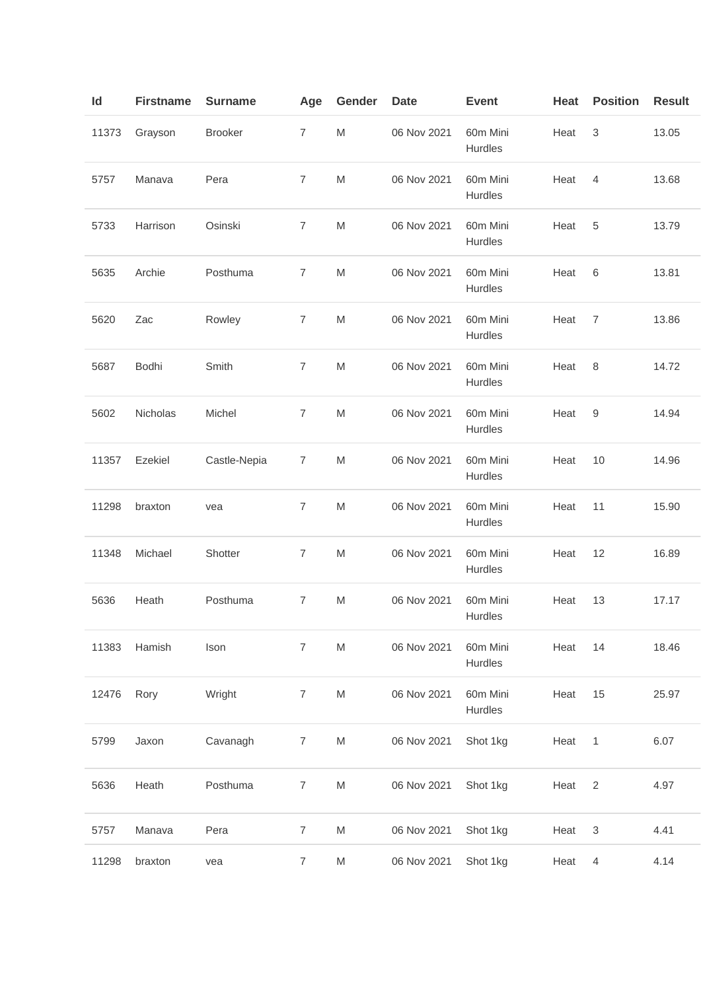| ld    | <b>Firstname</b> | <b>Surname</b> | Age            | Gender    | Date        | <b>Event</b>               | Heat | <b>Position</b>           | <b>Result</b> |
|-------|------------------|----------------|----------------|-----------|-------------|----------------------------|------|---------------------------|---------------|
| 11373 | Grayson          | <b>Brooker</b> | 7              | M         | 06 Nov 2021 | 60m Mini<br>Hurdles        | Heat | 3                         | 13.05         |
| 5757  | Manava           | Pera           | 7              | M         | 06 Nov 2021 | 60m Mini<br>Hurdles        | Heat | 4                         | 13.68         |
| 5733  | Harrison         | Osinski        | $\overline{7}$ | M         | 06 Nov 2021 | 60m Mini<br>Hurdles        | Heat | 5                         | 13.79         |
| 5635  | Archie           | Posthuma       | 7              | M         | 06 Nov 2021 | 60m Mini<br>Hurdles        | Heat | 6                         | 13.81         |
| 5620  | Zac              | Rowley         | 7              | M         | 06 Nov 2021 | 60m Mini<br>Hurdles        | Heat | $\overline{7}$            | 13.86         |
| 5687  | Bodhi            | Smith          | $\overline{7}$ | M         | 06 Nov 2021 | 60m Mini<br>Hurdles        | Heat | 8                         | 14.72         |
| 5602  | Nicholas         | Michel         | 7              | M         | 06 Nov 2021 | 60m Mini<br>Hurdles        | Heat | 9                         | 14.94         |
| 11357 | Ezekiel          | Castle-Nepia   | $\overline{7}$ | M         | 06 Nov 2021 | 60m Mini<br>Hurdles        | Heat | 10                        | 14.96         |
| 11298 | braxton          | vea            | $\overline{7}$ | M         | 06 Nov 2021 | 60m Mini<br>Hurdles        | Heat | 11                        | 15.90         |
| 11348 | Michael          | Shotter        | 7              | M         | 06 Nov 2021 | 60m Mini<br>Hurdles        | Heat | 12                        | 16.89         |
| 5636  | Heath            | Posthuma       | 7              | M         | 06 Nov 2021 | 60m Mini<br><b>Hurdles</b> | Heat | 13                        | 17.17         |
| 11383 | Hamish           | Ison           | $\overline{7}$ | M         | 06 Nov 2021 | 60m Mini<br>Hurdles        | Heat | 14                        | 18.46         |
| 12476 | Rory             | Wright         | $\overline{7}$ | ${\sf M}$ | 06 Nov 2021 | 60m Mini<br>Hurdles        | Heat | 15                        | 25.97         |
| 5799  | Jaxon            | Cavanagh       | $\overline{7}$ | M         | 06 Nov 2021 | Shot 1kg                   | Heat | $\mathbf{1}$              | 6.07          |
| 5636  | Heath            | Posthuma       | $\overline{7}$ | M         | 06 Nov 2021 | Shot 1kg                   | Heat | $\overline{2}$            | 4.97          |
| 5757  | Manava           | Pera           | $\overline{7}$ | M         | 06 Nov 2021 | Shot 1kg                   | Heat | $\ensuremath{\mathsf{3}}$ | 4.41          |
| 11298 | braxton          | vea            | $\overline{7}$ | M         | 06 Nov 2021 | Shot 1kg                   | Heat | 4                         | 4.14          |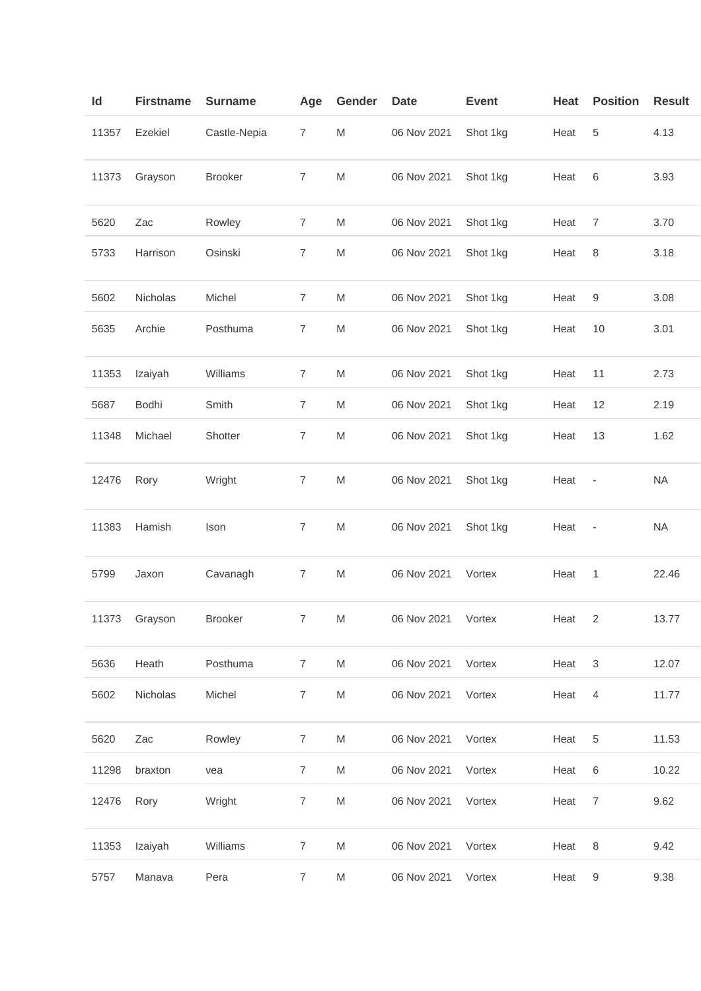| Id    | <b>Firstname</b> | <b>Surname</b> | Age            | Gender    | <b>Date</b>        | <b>Event</b> | Heat | <b>Position</b>          | <b>Result</b> |
|-------|------------------|----------------|----------------|-----------|--------------------|--------------|------|--------------------------|---------------|
| 11357 | Ezekiel          | Castle-Nepia   | $\overline{7}$ | M         | 06 Nov 2021        | Shot 1kg     | Heat | 5                        | 4.13          |
| 11373 | Grayson          | <b>Brooker</b> | 7              | M         | 06 Nov 2021        | Shot 1kg     | Heat | 6                        | 3.93          |
| 5620  | Zac              | Rowley         | $\overline{7}$ | M         | 06 Nov 2021        | Shot 1kg     | Heat | 7                        | 3.70          |
| 5733  | Harrison         | Osinski        | 7              | M         | 06 Nov 2021        | Shot 1kg     | Heat | 8                        | 3.18          |
| 5602  | Nicholas         | Michel         | 7              | M         | 06 Nov 2021        | Shot 1kg     | Heat | 9                        | 3.08          |
| 5635  | Archie           | Posthuma       | 7              | M         | 06 Nov 2021        | Shot 1kg     | Heat | 10                       | 3.01          |
| 11353 | Izaiyah          | Williams       | 7              | M         | 06 Nov 2021        | Shot 1kg     | Heat | 11                       | 2.73          |
| 5687  | Bodhi            | Smith          | 7              | M         | 06 Nov 2021        | Shot 1kg     | Heat | 12                       | 2.19          |
| 11348 | Michael          | Shotter        | $\overline{7}$ | M         | 06 Nov 2021        | Shot 1kg     | Heat | 13                       | 1.62          |
| 12476 | Rory             | Wright         | 7              | M         | 06 Nov 2021        | Shot 1kg     | Heat | $\overline{\phantom{m}}$ | <b>NA</b>     |
| 11383 | Hamish           | Ison           | 7              | M         | 06 Nov 2021        | Shot 1kg     | Heat | $\overline{\phantom{a}}$ | <b>NA</b>     |
| 5799  | Jaxon            | Cavanagh       | 7              | M         | 06 Nov 2021        | Vortex       | Heat | 1                        | 22.46         |
|       | 11373 Grayson    | <b>Brooker</b> | $\overline{7}$ | M         | 06 Nov 2021 Vortex |              | Heat |                          | 13.77         |
| 5636  | Heath            | Posthuma       | 7              | M         | 06 Nov 2021        | Vortex       | Heat | $\mathsf 3$              | 12.07         |
| 5602  | Nicholas         | Michel         | $\overline{7}$ | ${\sf M}$ | 06 Nov 2021        | Vortex       | Heat | $\overline{4}$           | 11.77         |
| 5620  | Zac              | Rowley         | $\overline{7}$ | M         | 06 Nov 2021        | Vortex       | Heat | $\,$ 5 $\,$              | 11.53         |
| 11298 | braxton          | vea            | $\overline{7}$ | M         | 06 Nov 2021        | Vortex       | Heat | 6                        | 10.22         |
| 12476 | Rory             | Wright         | $\overline{7}$ | M         | 06 Nov 2021        | Vortex       | Heat | $\overline{7}$           | 9.62          |
| 11353 | Izaiyah          | Williams       | $\overline{7}$ | M         | 06 Nov 2021        | Vortex       | Heat | 8                        | 9.42          |
| 5757  | Manava           | Pera           | 7              | M         | 06 Nov 2021        | Vortex       | Heat | $\boldsymbol{9}$         | 9.38          |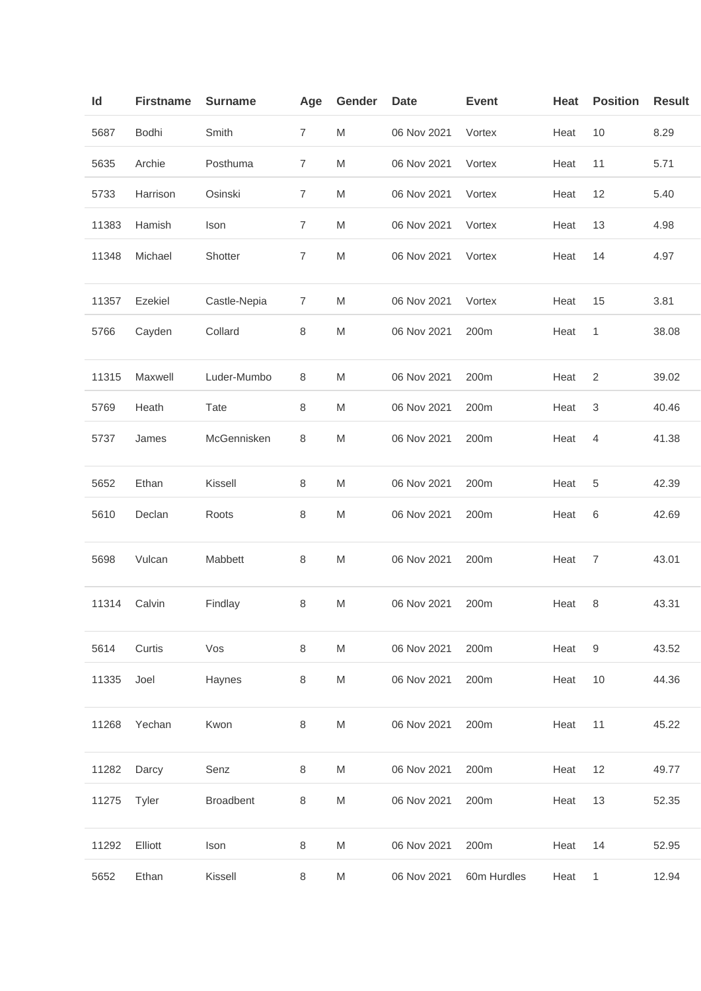| ld    | <b>Firstname</b> | <b>Surname</b>   | Age            | Gender                                                                                                     | <b>Date</b> | <b>Event</b> | Heat | <b>Position</b>  | <b>Result</b> |
|-------|------------------|------------------|----------------|------------------------------------------------------------------------------------------------------------|-------------|--------------|------|------------------|---------------|
| 5687  | Bodhi            | Smith            | 7              | M                                                                                                          | 06 Nov 2021 | Vortex       | Heat | 10               | 8.29          |
| 5635  | Archie           | Posthuma         | 7              | M                                                                                                          | 06 Nov 2021 | Vortex       | Heat | 11               | 5.71          |
| 5733  | Harrison         | Osinski          | $\overline{7}$ | $\mathsf{M}% _{T}=\mathsf{M}_{T}\!\left( a,b\right) ,\ \mathsf{M}_{T}=\mathsf{M}_{T}\!\left( a,b\right) ,$ | 06 Nov 2021 | Vortex       | Heat | 12               | 5.40          |
| 11383 | Hamish           | Ison             | $\overline{7}$ | M                                                                                                          | 06 Nov 2021 | Vortex       | Heat | 13               | 4.98          |
| 11348 | Michael          | Shotter          | 7              | M                                                                                                          | 06 Nov 2021 | Vortex       | Heat | 14               | 4.97          |
| 11357 | Ezekiel          | Castle-Nepia     | 7              | M                                                                                                          | 06 Nov 2021 | Vortex       | Heat | 15               | 3.81          |
| 5766  | Cayden           | Collard          | 8              | M                                                                                                          | 06 Nov 2021 | 200m         | Heat | 1                | 38.08         |
| 11315 | Maxwell          | Luder-Mumbo      | 8              | M                                                                                                          | 06 Nov 2021 | 200m         | Heat | $\overline{2}$   | 39.02         |
| 5769  | Heath            | Tate             | 8              | M                                                                                                          | 06 Nov 2021 | 200m         | Heat | 3                | 40.46         |
| 5737  | James            | McGennisken      | 8              | M                                                                                                          | 06 Nov 2021 | 200m         | Heat | 4                | 41.38         |
| 5652  | Ethan            | Kissell          | 8              | M                                                                                                          | 06 Nov 2021 | 200m         | Heat | 5                | 42.39         |
| 5610  | Declan           | Roots            | 8              | ${\sf M}$                                                                                                  | 06 Nov 2021 | 200m         | Heat | 6                | 42.69         |
| 5698  | Vulcan           | Mabbett          | 8              | M                                                                                                          | 06 Nov 2021 | 200m         | Heat | $\overline{7}$   | 43.01         |
| 11314 | Calvin           | Findlay          | $\,8\,$        | M                                                                                                          | 06 Nov 2021 | 200m         | Heat | 8                | 43.31         |
| 5614  | Curtis           | Vos              | $\,8\,$        | M                                                                                                          | 06 Nov 2021 | 200m         | Heat | $\boldsymbol{9}$ | 43.52         |
| 11335 | Joel             | Haynes           | 8              | M                                                                                                          | 06 Nov 2021 | 200m         | Heat | 10               | 44.36         |
| 11268 | Yechan           | Kwon             | 8              | $\mathsf{M}% _{T}=\mathsf{M}_{T}\!\left( a,b\right) ,\ \mathsf{M}_{T}=\mathsf{M}_{T}\!\left( a,b\right) ,$ | 06 Nov 2021 | 200m         | Heat | 11               | 45.22         |
| 11282 | Darcy            | Senz             | 8              | M                                                                                                          | 06 Nov 2021 | 200m         | Heat | 12               | 49.77         |
| 11275 | Tyler            | <b>Broadbent</b> | 8              | M                                                                                                          | 06 Nov 2021 | 200m         | Heat | 13               | 52.35         |
| 11292 | Elliott          | Ison             | 8              | M                                                                                                          | 06 Nov 2021 | 200m         | Heat | 14               | 52.95         |
| 5652  | Ethan            | Kissell          | 8              | M                                                                                                          | 06 Nov 2021 | 60m Hurdles  | Heat | 1                | 12.94         |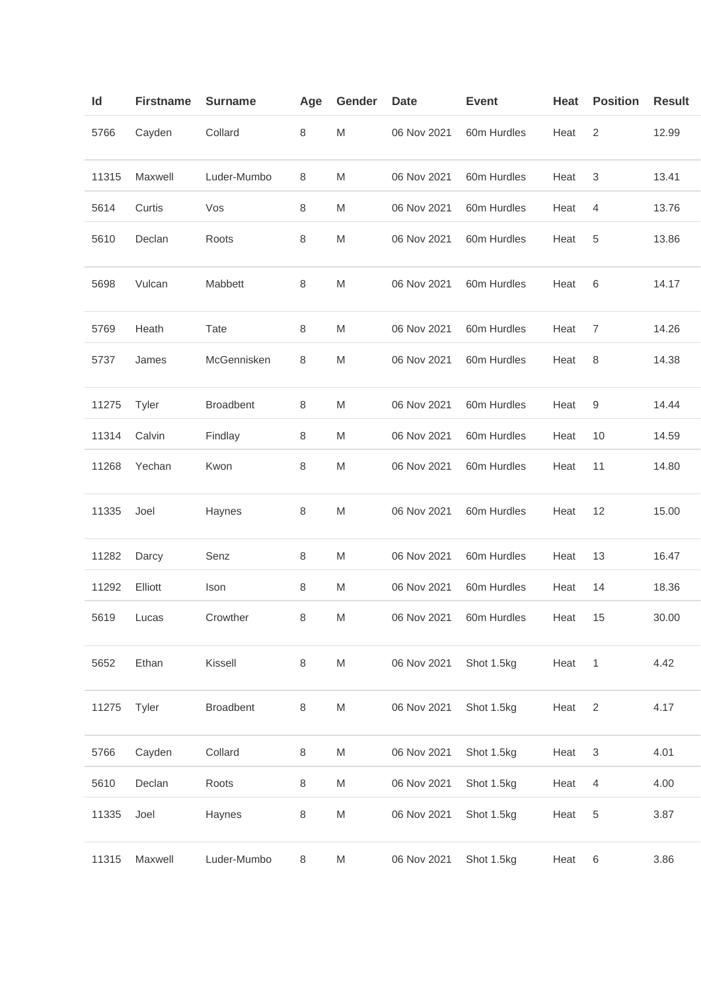| ld    | <b>Firstname</b> | <b>Surname</b>   | Age     | Gender                                                                                                     | <b>Date</b> | <b>Event</b> | Heat | <b>Position</b>           | <b>Result</b> |
|-------|------------------|------------------|---------|------------------------------------------------------------------------------------------------------------|-------------|--------------|------|---------------------------|---------------|
| 5766  | Cayden           | Collard          | 8       | M                                                                                                          | 06 Nov 2021 | 60m Hurdles  | Heat | 2                         | 12.99         |
| 11315 | Maxwell          | Luder-Mumbo      | 8       | M                                                                                                          | 06 Nov 2021 | 60m Hurdles  | Heat | $\ensuremath{\mathsf{3}}$ | 13.41         |
| 5614  | Curtis           | Vos              | 8       | M                                                                                                          | 06 Nov 2021 | 60m Hurdles  | Heat | 4                         | 13.76         |
| 5610  | Declan           | Roots            | 8       | M                                                                                                          | 06 Nov 2021 | 60m Hurdles  | Heat | 5                         | 13.86         |
| 5698  | Vulcan           | Mabbett          | 8       | M                                                                                                          | 06 Nov 2021 | 60m Hurdles  | Heat | 6                         | 14.17         |
| 5769  | Heath            | Tate             | 8       | M                                                                                                          | 06 Nov 2021 | 60m Hurdles  | Heat | 7                         | 14.26         |
| 5737  | James            | McGennisken      | 8       | M                                                                                                          | 06 Nov 2021 | 60m Hurdles  | Heat | 8                         | 14.38         |
| 11275 | Tyler            | <b>Broadbent</b> | 8       | M                                                                                                          | 06 Nov 2021 | 60m Hurdles  | Heat | 9                         | 14.44         |
| 11314 | Calvin           | Findlay          | $\,8\,$ | M                                                                                                          | 06 Nov 2021 | 60m Hurdles  | Heat | 10                        | 14.59         |
| 11268 | Yechan           | Kwon             | 8       | M                                                                                                          | 06 Nov 2021 | 60m Hurdles  | Heat | 11                        | 14.80         |
| 11335 | Joel             | Haynes           | 8       | M                                                                                                          | 06 Nov 2021 | 60m Hurdles  | Heat | 12                        | 15.00         |
| 11282 | Darcy            | Senz             | 8       | M                                                                                                          | 06 Nov 2021 | 60m Hurdles  | Heat | 13                        | 16.47         |
| 11292 | Elliott          | Ison             | 8       | M                                                                                                          | 06 Nov 2021 | 60m Hurdles  | Heat | 14                        | 18.36         |
| 5619  | Lucas            | Crowther         | 8       | M                                                                                                          | 06 Nov 2021 | 60m Hurdles  | Heat | 15                        | 30.00         |
| 5652  | Ethan            | Kissell          | 8       | $\mathsf{M}% _{T}=\mathsf{M}_{T}\!\left( a,b\right) ,\ \mathsf{M}_{T}=\mathsf{M}_{T}\!\left( a,b\right) ,$ | 06 Nov 2021 | Shot 1.5kg   | Heat | 1                         | 4.42          |
| 11275 | Tyler            | <b>Broadbent</b> | 8       | $\mathsf{M}% _{T}=\mathsf{M}_{T}\!\left( a,b\right) ,\ \mathsf{M}_{T}=\mathsf{M}_{T}\!\left( a,b\right) ,$ | 06 Nov 2021 | Shot 1.5kg   | Heat | $\sqrt{2}$                | 4.17          |
| 5766  | Cayden           | Collard          | $\,8\,$ | M                                                                                                          | 06 Nov 2021 | Shot 1.5kg   | Heat | 3                         | 4.01          |
| 5610  | Declan           | Roots            | 8       | ${\sf M}$                                                                                                  | 06 Nov 2021 | Shot 1.5kg   | Heat | 4                         | 4.00          |
| 11335 | Joel             | Haynes           | 8       | M                                                                                                          | 06 Nov 2021 | Shot 1.5kg   | Heat | 5                         | 3.87          |
| 11315 | Maxwell          | Luder-Mumbo      | $\,8\,$ | M                                                                                                          | 06 Nov 2021 | Shot 1.5kg   | Heat | 6                         | 3.86          |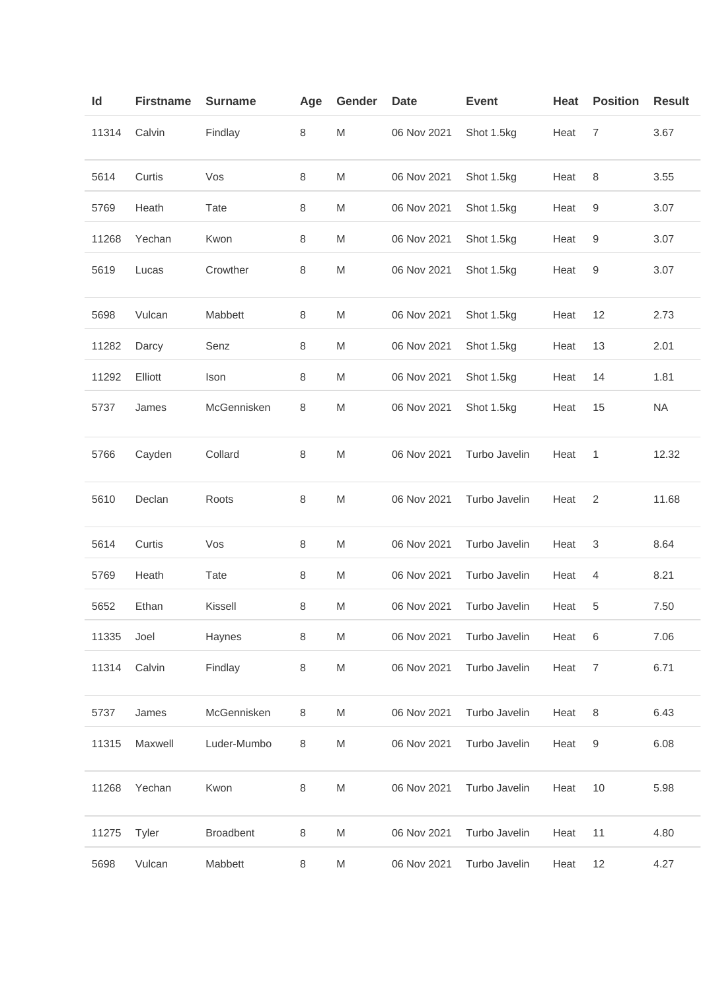| ld    | <b>Firstname</b> | <b>Surname</b>   | Age     | Gender | <b>Date</b> | <b>Event</b>  | Heat | <b>Position</b> | <b>Result</b> |
|-------|------------------|------------------|---------|--------|-------------|---------------|------|-----------------|---------------|
| 11314 | Calvin           | Findlay          | $\,8\,$ | M      | 06 Nov 2021 | Shot 1.5kg    | Heat | 7               | 3.67          |
| 5614  | Curtis           | Vos              | 8       | M      | 06 Nov 2021 | Shot 1.5kg    | Heat | 8               | 3.55          |
| 5769  | Heath            | Tate             | 8       | M      | 06 Nov 2021 | Shot 1.5kg    | Heat | 9               | 3.07          |
| 11268 | Yechan           | Kwon             | 8       | M      | 06 Nov 2021 | Shot 1.5kg    | Heat | 9               | 3.07          |
| 5619  | Lucas            | Crowther         | 8       | M      | 06 Nov 2021 | Shot 1.5kg    | Heat | 9               | 3.07          |
| 5698  | Vulcan           | Mabbett          | 8       | M      | 06 Nov 2021 | Shot 1.5kg    | Heat | 12              | 2.73          |
| 11282 | Darcy            | Senz             | 8       | M      | 06 Nov 2021 | Shot 1.5kg    | Heat | 13              | 2.01          |
| 11292 | Elliott          | Ison             | 8       | M      | 06 Nov 2021 | Shot 1.5kg    | Heat | 14              | 1.81          |
| 5737  | James            | McGennisken      | 8       | M      | 06 Nov 2021 | Shot 1.5kg    | Heat | 15              | <b>NA</b>     |
| 5766  | Cayden           | Collard          | 8       | M      | 06 Nov 2021 | Turbo Javelin | Heat | 1               | 12.32         |
| 5610  | Declan           | Roots            | 8       | M      | 06 Nov 2021 | Turbo Javelin | Heat | 2               | 11.68         |
| 5614  | Curtis           | Vos              | 8       | M      | 06 Nov 2021 | Turbo Javelin | Heat | 3               | 8.64          |
| 5769  | Heath            | Tate             | 8       | M      | 06 Nov 2021 | Turbo Javelin | Heat | 4               | 8.21          |
| 5652  | Ethan            | Kissell          | 8       | M      | 06 Nov 2021 | Turbo Javelin | Heat | 5               | 7.50          |
| 11335 | Joel             | Haynes           | 8       | M      | 06 Nov 2021 | Turbo Javelin | Heat | 6               | 7.06          |
| 11314 | Calvin           | Findlay          | $\,8\,$ | M      | 06 Nov 2021 | Turbo Javelin | Heat | $\overline{7}$  | 6.71          |
| 5737  | James            | McGennisken      | 8       | M      | 06 Nov 2021 | Turbo Javelin | Heat | 8               | 6.43          |
| 11315 | Maxwell          | Luder-Mumbo      | 8       | M      | 06 Nov 2021 | Turbo Javelin | Heat | 9               | 6.08          |
| 11268 | Yechan           | Kwon             | 8       | M      | 06 Nov 2021 | Turbo Javelin | Heat | 10              | 5.98          |
| 11275 | Tyler            | <b>Broadbent</b> | 8       | M      | 06 Nov 2021 | Turbo Javelin | Heat | 11              | 4.80          |
| 5698  | Vulcan           | Mabbett          | 8       | M      | 06 Nov 2021 | Turbo Javelin | Heat | 12              | 4.27          |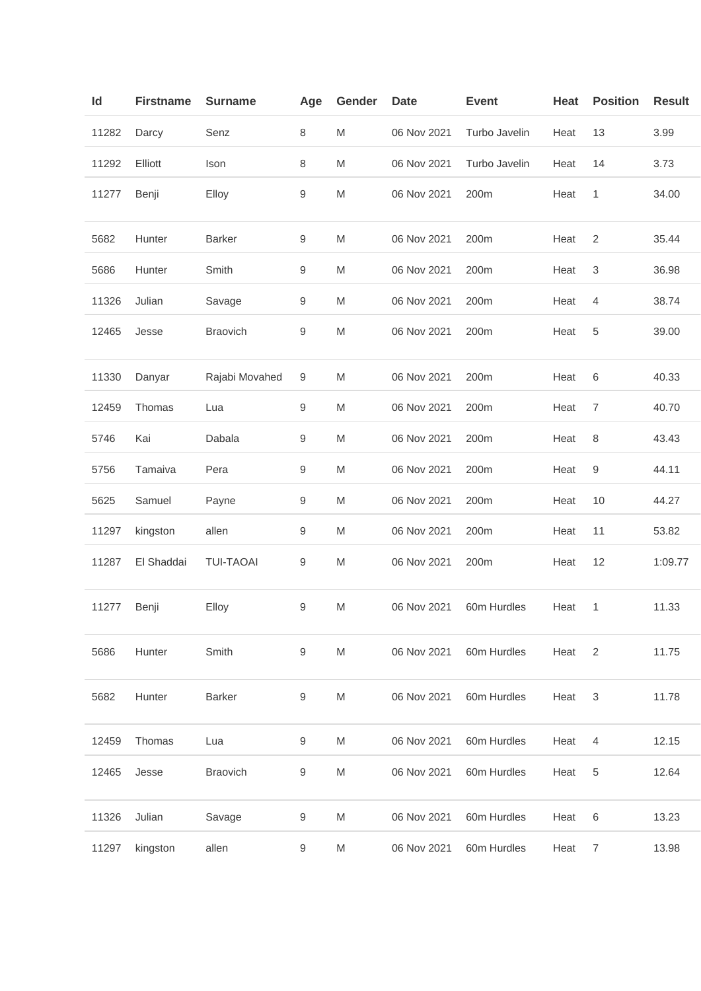| Id    | <b>Firstname</b> | <b>Surname</b>   | Age              | Gender    | <b>Date</b> | <b>Event</b>  | Heat | <b>Position</b> | <b>Result</b> |
|-------|------------------|------------------|------------------|-----------|-------------|---------------|------|-----------------|---------------|
| 11282 | Darcy            | Senz             | $\,8\,$          | M         | 06 Nov 2021 | Turbo Javelin | Heat | 13              | 3.99          |
| 11292 | Elliott          | Ison             | 8                | M         | 06 Nov 2021 | Turbo Javelin | Heat | 14              | 3.73          |
| 11277 | Benji            | Elloy            | $\boldsymbol{9}$ | M         | 06 Nov 2021 | 200m          | Heat | 1               | 34.00         |
| 5682  | Hunter           | <b>Barker</b>    | $\boldsymbol{9}$ | M         | 06 Nov 2021 | 200m          | Heat | $\overline{2}$  | 35.44         |
| 5686  | Hunter           | Smith            | $\boldsymbol{9}$ | M         | 06 Nov 2021 | 200m          | Heat | 3               | 36.98         |
| 11326 | Julian           | Savage           | $\boldsymbol{9}$ | M         | 06 Nov 2021 | 200m          | Heat | 4               | 38.74         |
| 12465 | Jesse            | <b>Braovich</b>  | 9                | M         | 06 Nov 2021 | 200m          | Heat | 5               | 39.00         |
| 11330 | Danyar           | Rajabi Movahed   | $\boldsymbol{9}$ | M         | 06 Nov 2021 | 200m          | Heat | 6               | 40.33         |
| 12459 | Thomas           | Lua              | $\boldsymbol{9}$ | M         | 06 Nov 2021 | 200m          | Heat | 7               | 40.70         |
| 5746  | Kai              | Dabala           | 9                | M         | 06 Nov 2021 | 200m          | Heat | 8               | 43.43         |
| 5756  | Tamaiva          | Pera             | $\boldsymbol{9}$ | M         | 06 Nov 2021 | 200m          | Heat | 9               | 44.11         |
| 5625  | Samuel           | Payne            | $\boldsymbol{9}$ | M         | 06 Nov 2021 | 200m          | Heat | 10              | 44.27         |
| 11297 | kingston         | allen            | 9                | M         | 06 Nov 2021 | 200m          | Heat | 11              | 53.82         |
| 11287 | El Shaddai       | <b>TUI-TAOAI</b> | 9                | M         | 06 Nov 2021 | 200m          | Heat | 12              | 1:09.77       |
| 11277 | Benji            | Elloy            | $\boldsymbol{9}$ | M         | 06 Nov 2021 | 60m Hurdles   | Heat | 1               | 11.33         |
| 5686  | Hunter           | Smith            | 9                | ${\sf M}$ | 06 Nov 2021 | 60m Hurdles   | Heat | $\overline{2}$  | 11.75         |
| 5682  | Hunter           | <b>Barker</b>    | $\boldsymbol{9}$ | ${\sf M}$ | 06 Nov 2021 | 60m Hurdles   | Heat | 3               | 11.78         |
| 12459 | Thomas           | Lua              | $\hbox{9}$       | M         | 06 Nov 2021 | 60m Hurdles   | Heat | 4               | 12.15         |
| 12465 | Jesse            | <b>Braovich</b>  | $\boldsymbol{9}$ | M         | 06 Nov 2021 | 60m Hurdles   | Heat | 5               | 12.64         |
| 11326 | Julian           | Savage           | $\boldsymbol{9}$ | M         | 06 Nov 2021 | 60m Hurdles   | Heat | 6               | 13.23         |
| 11297 | kingston         | allen            | 9                | M         | 06 Nov 2021 | 60m Hurdles   | Heat | $\overline{7}$  | 13.98         |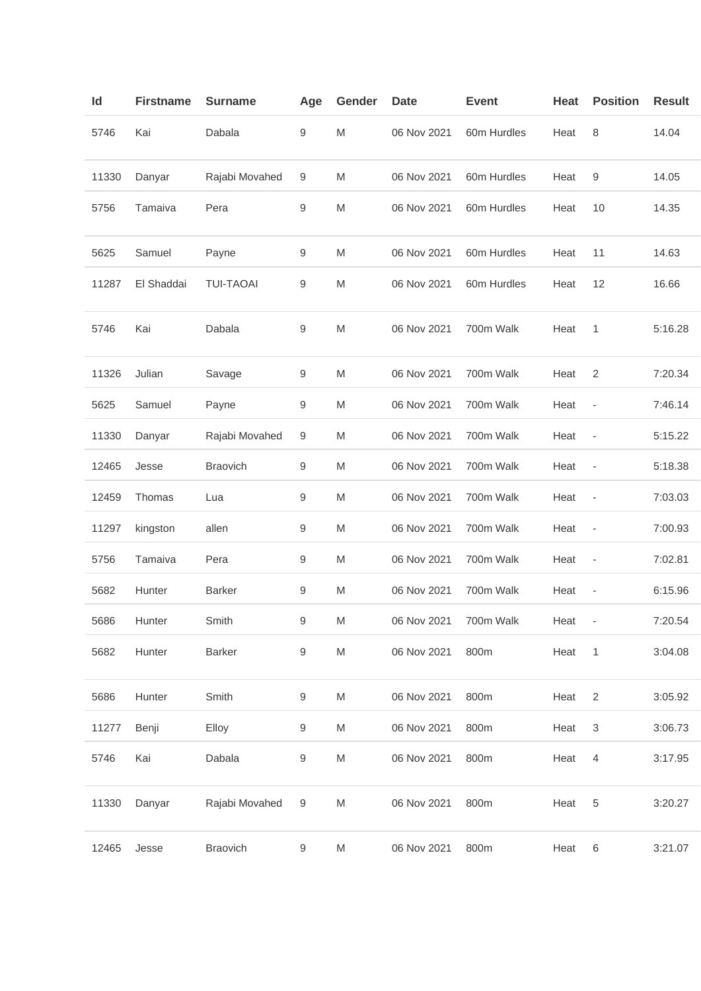| Id    | <b>Firstname</b> | <b>Surname</b>   | Age              | Gender    | <b>Date</b> | <b>Event</b> | Heat | <b>Position</b>              | <b>Result</b> |
|-------|------------------|------------------|------------------|-----------|-------------|--------------|------|------------------------------|---------------|
| 5746  | Kai              | Dabala           | 9                | M         | 06 Nov 2021 | 60m Hurdles  | Heat | 8                            | 14.04         |
| 11330 | Danyar           | Rajabi Movahed   | 9                | M         | 06 Nov 2021 | 60m Hurdles  | Heat | 9                            | 14.05         |
| 5756  | Tamaiva          | Pera             | 9                | M         | 06 Nov 2021 | 60m Hurdles  | Heat | 10                           | 14.35         |
| 5625  | Samuel           | Payne            | $\boldsymbol{9}$ | M         | 06 Nov 2021 | 60m Hurdles  | Heat | 11                           | 14.63         |
| 11287 | El Shaddai       | <b>TUI-TAOAI</b> | 9                | M         | 06 Nov 2021 | 60m Hurdles  | Heat | 12                           | 16.66         |
| 5746  | Kai              | Dabala           | $\boldsymbol{9}$ | M         | 06 Nov 2021 | 700m Walk    | Heat | 1                            | 5:16.28       |
| 11326 | Julian           | Savage           | 9                | M         | 06 Nov 2021 | 700m Walk    | Heat | $\overline{2}$               | 7:20.34       |
| 5625  | Samuel           | Payne            | 9                | M         | 06 Nov 2021 | 700m Walk    | Heat | $\qquad \qquad -$            | 7:46.14       |
| 11330 | Danyar           | Rajabi Movahed   | $\boldsymbol{9}$ | M         | 06 Nov 2021 | 700m Walk    | Heat | $\overline{\phantom{a}}$     | 5:15.22       |
| 12465 | Jesse            | <b>Braovich</b>  | 9                | M         | 06 Nov 2021 | 700m Walk    | Heat | $\overline{\phantom{a}}$     | 5:18.38       |
| 12459 | Thomas           | Lua              | 9                | M         | 06 Nov 2021 | 700m Walk    | Heat | $\qquad \qquad \blacksquare$ | 7:03.03       |
| 11297 | kingston         | allen            | $\boldsymbol{9}$ | M         | 06 Nov 2021 | 700m Walk    | Heat | $\qquad \qquad -$            | 7:00.93       |
| 5756  | Tamaiva          | Pera             | 9                | M         | 06 Nov 2021 | 700m Walk    | Heat | ÷,                           | 7:02.81       |
| 5682  | Hunter           | <b>Barker</b>    | 9                | M         | 06 Nov 2021 | 700m Walk    | Heat | $\overline{\phantom{a}}$     | 6:15.96       |
| 5686  | Hunter           | Smith            | 9                | M         | 06 Nov 2021 | 700m Walk    | Heat |                              | 7:20.54       |
| 5682  | Hunter           | <b>Barker</b>    | $\boldsymbol{9}$ | ${\sf M}$ | 06 Nov 2021 | 800m         | Heat | $\mathbf{1}$                 | 3:04.08       |
| 5686  | Hunter           | Smith            | $\boldsymbol{9}$ | ${\sf M}$ | 06 Nov 2021 | 800m         | Heat | $\overline{2}$               | 3:05.92       |
| 11277 | Benji            | Elloy            | $\boldsymbol{9}$ | M         | 06 Nov 2021 | 800m         | Heat | $\mathsf 3$                  | 3:06.73       |
| 5746  | Kai              | Dabala           | $\boldsymbol{9}$ | M         | 06 Nov 2021 | 800m         | Heat | 4                            | 3:17.95       |
| 11330 | Danyar           | Rajabi Movahed   | 9                | M         | 06 Nov 2021 | 800m         | Heat | 5                            | 3:20.27       |
| 12465 | Jesse            | Braovich         | $\boldsymbol{9}$ | M         | 06 Nov 2021 | 800m         | Heat | 6                            | 3:21.07       |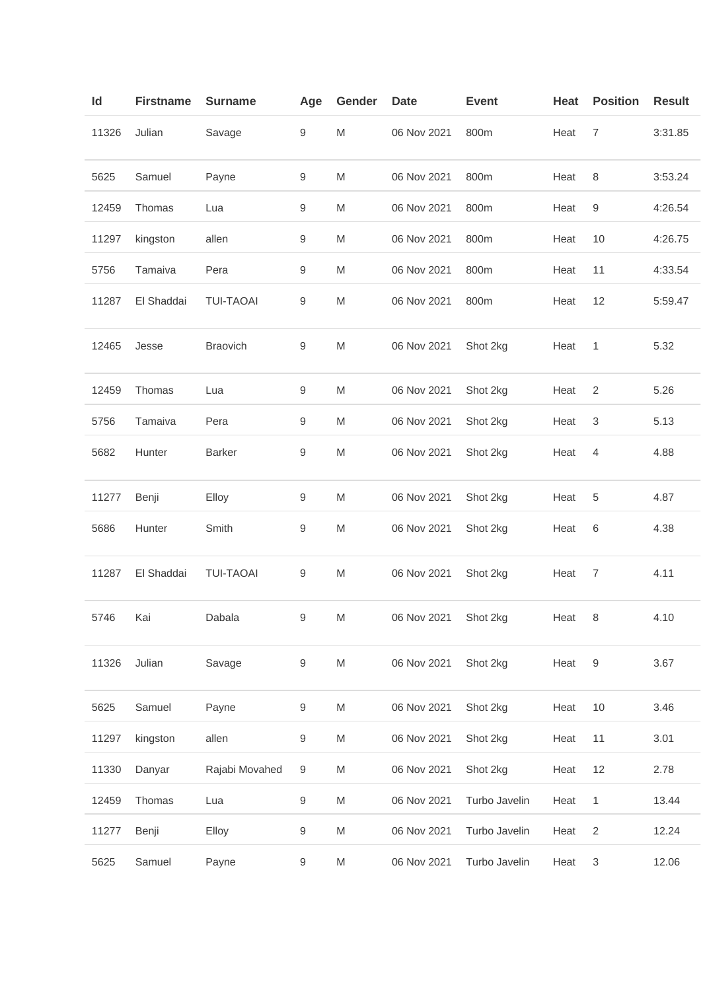| Id    | <b>Firstname</b> | <b>Surname</b>   | Age              | Gender    | <b>Date</b>          | <b>Event</b>  | Heat | <b>Position</b>           | <b>Result</b> |
|-------|------------------|------------------|------------------|-----------|----------------------|---------------|------|---------------------------|---------------|
| 11326 | Julian           | Savage           | 9                | M         | 06 Nov 2021          | 800m          | Heat | 7                         | 3:31.85       |
| 5625  | Samuel           | Payne            | 9                | M         | 06 Nov 2021          | 800m          | Heat | 8                         | 3:53.24       |
| 12459 | Thomas           | Lua              | $\boldsymbol{9}$ | M         | 06 Nov 2021          | 800m          | Heat | 9                         | 4:26.54       |
| 11297 | kingston         | allen            | $\boldsymbol{9}$ | M         | 06 Nov 2021          | 800m          | Heat | 10                        | 4:26.75       |
| 5756  | Tamaiva          | Pera             | $\boldsymbol{9}$ | M         | 06 Nov 2021          | 800m          | Heat | 11                        | 4:33.54       |
| 11287 | El Shaddai       | <b>TUI-TAOAI</b> | 9                | M         | 06 Nov 2021          | 800m          | Heat | 12                        | 5:59.47       |
| 12465 | Jesse            | <b>Braovich</b>  | 9                | M         | 06 Nov 2021          | Shot 2kg      | Heat | 1                         | 5.32          |
| 12459 | Thomas           | Lua              | $\boldsymbol{9}$ | M         | 06 Nov 2021          | Shot 2kg      | Heat | $\overline{2}$            | 5.26          |
| 5756  | Tamaiva          | Pera             | 9                | M         | 06 Nov 2021          | Shot 2kg      | Heat | 3                         | 5.13          |
| 5682  | Hunter           | <b>Barker</b>    | 9                | M         | 06 Nov 2021          | Shot 2kg      | Heat | 4                         | 4.88          |
| 11277 | Benji            | Elloy            | 9                | M         | 06 Nov 2021          | Shot 2kg      | Heat | 5                         | 4.87          |
| 5686  | Hunter           | Smith            | 9                | M         | 06 Nov 2021          | Shot 2kg      | Heat | 6                         | 4.38          |
| 11287 | El Shaddai       | <b>TUI-TAOAI</b> | 9                | M         | 06 Nov 2021          | Shot 2kg      | Heat | $\overline{7}$            | 4.11          |
| 5746  | Kai              | Dabala           | 9                | M         | 06 Nov 2021 Shot 2kg |               | Heat |                           | 4.10          |
| 11326 | Julian           | Savage           | 9                | ${\sf M}$ | 06 Nov 2021          | Shot 2kg      | Heat | 9                         | 3.67          |
| 5625  | Samuel           | Payne            | $\boldsymbol{9}$ | ${\sf M}$ | 06 Nov 2021          | Shot 2kg      | Heat | 10                        | 3.46          |
| 11297 | kingston         | allen            | $\boldsymbol{9}$ | ${\sf M}$ | 06 Nov 2021          | Shot 2kg      | Heat | 11                        | 3.01          |
| 11330 | Danyar           | Rajabi Movahed   | $\boldsymbol{9}$ | ${\sf M}$ | 06 Nov 2021          | Shot 2kg      | Heat | 12                        | 2.78          |
| 12459 | Thomas           | Lua              | $\boldsymbol{9}$ | M         | 06 Nov 2021          | Turbo Javelin | Heat | 1                         | 13.44         |
| 11277 | Benji            | Elloy            | 9                | M         | 06 Nov 2021          | Turbo Javelin | Heat | $\overline{2}$            | 12.24         |
| 5625  | Samuel           | Payne            | $\boldsymbol{9}$ | M         | 06 Nov 2021          | Turbo Javelin | Heat | $\ensuremath{\mathsf{3}}$ | 12.06         |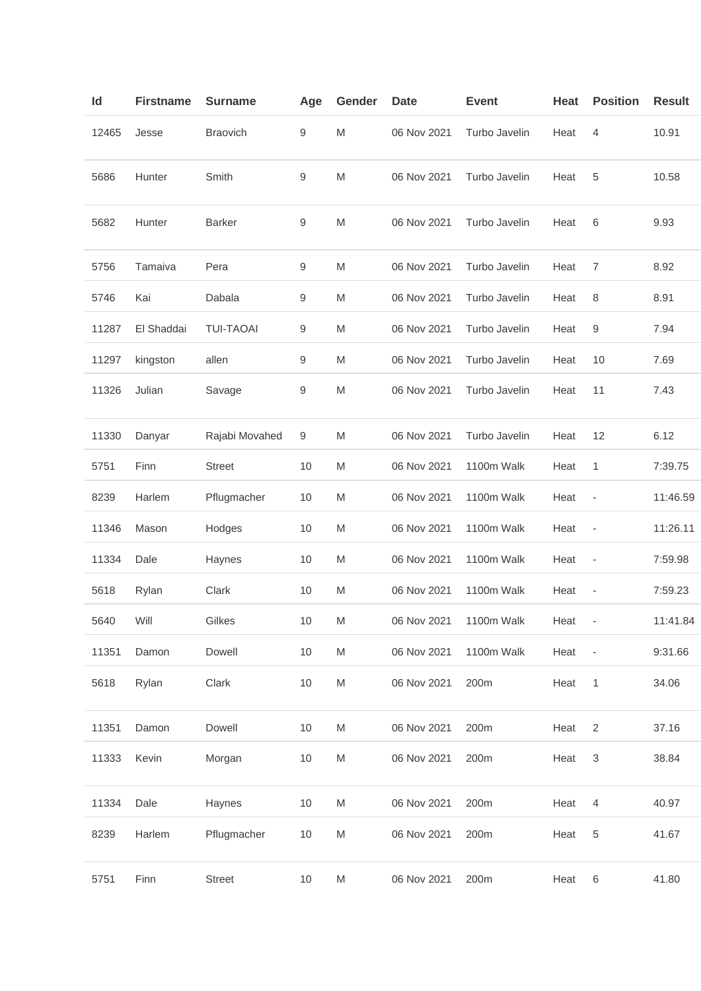| Id    | <b>Firstname</b> | <b>Surname</b>   | Age             | Gender    | <b>Date</b> | <b>Event</b>  | Heat | <b>Position</b>           | <b>Result</b> |
|-------|------------------|------------------|-----------------|-----------|-------------|---------------|------|---------------------------|---------------|
| 12465 | Jesse            | <b>Braovich</b>  | 9               | M         | 06 Nov 2021 | Turbo Javelin | Heat | 4                         | 10.91         |
| 5686  | Hunter           | Smith            | 9               | M         | 06 Nov 2021 | Turbo Javelin | Heat | 5                         | 10.58         |
| 5682  | Hunter           | <b>Barker</b>    | 9               | M         | 06 Nov 2021 | Turbo Javelin | Heat | 6                         | 9.93          |
| 5756  | Tamaiva          | Pera             | 9               | M         | 06 Nov 2021 | Turbo Javelin | Heat | 7                         | 8.92          |
| 5746  | Kai              | Dabala           | 9               | M         | 06 Nov 2021 | Turbo Javelin | Heat | 8                         | 8.91          |
| 11287 | El Shaddai       | <b>TUI-TAOAI</b> | 9               | M         | 06 Nov 2021 | Turbo Javelin | Heat | 9                         | 7.94          |
| 11297 | kingston         | allen            | 9               | M         | 06 Nov 2021 | Turbo Javelin | Heat | 10                        | 7.69          |
| 11326 | Julian           | Savage           | 9               | M         | 06 Nov 2021 | Turbo Javelin | Heat | 11                        | 7.43          |
| 11330 | Danyar           | Rajabi Movahed   | 9               | M         | 06 Nov 2021 | Turbo Javelin | Heat | 12                        | 6.12          |
| 5751  | Finn             | <b>Street</b>    | 10              | M         | 06 Nov 2021 | 1100m Walk    | Heat | 1                         | 7:39.75       |
| 8239  | Harlem           | Pflugmacher      | 10              | M         | 06 Nov 2021 | 1100m Walk    | Heat | $\overline{a}$            | 11:46.59      |
| 11346 | Mason            | Hodges           | 10              | M         | 06 Nov 2021 | 1100m Walk    | Heat | ÷                         | 11:26.11      |
| 11334 | Dale             | Haynes           | 10              | M         | 06 Nov 2021 | 1100m Walk    | Heat | $\overline{\phantom{a}}$  | 7:59.98       |
| 5618  | Rylan            | Clark            | 10              | M         | 06 Nov 2021 | 1100m Walk    | Heat | $\overline{\phantom{a}}$  | 7:59.23       |
| 5640  | Will             | Gilkes           | 10 <sup>1</sup> | M         | 06 Nov 2021 | 1100m Walk    | Heat |                           | 11:41.84      |
| 11351 | Damon            | Dowell           | 10              | ${\sf M}$ | 06 Nov 2021 | 1100m Walk    | Heat | $\qquad \qquad -$         | 9:31.66       |
| 5618  | Rylan            | Clark            | 10              | M         | 06 Nov 2021 | 200m          | Heat | 1                         | 34.06         |
| 11351 | Damon            | Dowell           | 10              | M         | 06 Nov 2021 | 200m          | Heat | $\overline{2}$            | 37.16         |
| 11333 | Kevin            | Morgan           | 10              | M         | 06 Nov 2021 | 200m          | Heat | $\ensuremath{\mathsf{3}}$ | 38.84         |
| 11334 | Dale             | Haynes           | 10              | M         | 06 Nov 2021 | 200m          | Heat | 4                         | 40.97         |
| 8239  | Harlem           | Pflugmacher      | 10              | ${\sf M}$ | 06 Nov 2021 | 200m          | Heat | 5                         | 41.67         |
| 5751  | Finn             | <b>Street</b>    | 10              | M         | 06 Nov 2021 | 200m          | Heat | 6                         | 41.80         |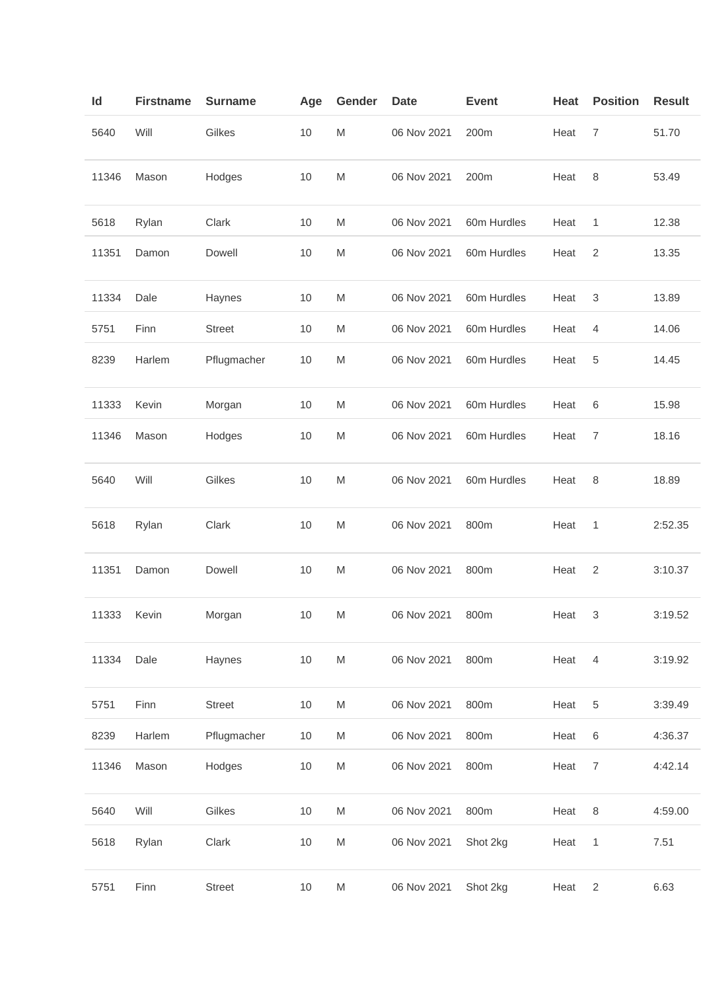| ld    | <b>Firstname</b> | <b>Surname</b> | Age  | Gender                                                                                                     | Date        | <b>Event</b> | Heat | <b>Position</b> | <b>Result</b> |
|-------|------------------|----------------|------|------------------------------------------------------------------------------------------------------------|-------------|--------------|------|-----------------|---------------|
| 5640  | Will             | Gilkes         | $10$ | M                                                                                                          | 06 Nov 2021 | 200m         | Heat | 7               | 51.70         |
| 11346 | Mason            | Hodges         | $10$ | M                                                                                                          | 06 Nov 2021 | 200m         | Heat | 8               | 53.49         |
| 5618  | Rylan            | Clark          | 10   | M                                                                                                          | 06 Nov 2021 | 60m Hurdles  | Heat | 1               | 12.38         |
| 11351 | Damon            | Dowell         | 10   | M                                                                                                          | 06 Nov 2021 | 60m Hurdles  | Heat | $\overline{2}$  | 13.35         |
| 11334 | Dale             | Haynes         | 10   | M                                                                                                          | 06 Nov 2021 | 60m Hurdles  | Heat | 3               | 13.89         |
| 5751  | Finn             | <b>Street</b>  | 10   | M                                                                                                          | 06 Nov 2021 | 60m Hurdles  | Heat | 4               | 14.06         |
| 8239  | Harlem           | Pflugmacher    | 10   | M                                                                                                          | 06 Nov 2021 | 60m Hurdles  | Heat | 5               | 14.45         |
| 11333 | Kevin            | Morgan         | 10   | M                                                                                                          | 06 Nov 2021 | 60m Hurdles  | Heat | 6               | 15.98         |
| 11346 | Mason            | Hodges         | 10   | M                                                                                                          | 06 Nov 2021 | 60m Hurdles  | Heat | 7               | 18.16         |
| 5640  | Will             | Gilkes         | 10   | M                                                                                                          | 06 Nov 2021 | 60m Hurdles  | Heat | 8               | 18.89         |
| 5618  | Rylan            | Clark          | 10   | M                                                                                                          | 06 Nov 2021 | 800m         | Heat | 1               | 2:52.35       |
| 11351 | Damon            | Dowell         | 10   | M                                                                                                          | 06 Nov 2021 | 800m         | Heat | 2               | 3:10.37       |
| 11333 | Kevin            | Morgan         | 10   | M                                                                                                          | 06 Nov 2021 | 800m         | Heat | 3               | 3:19.52       |
| 11334 | Dale             | Haynes         | 10   | $\mathsf{M}% _{T}=\mathsf{M}_{T}\!\left( a,b\right) ,\ \mathsf{M}_{T}=\mathsf{M}_{T}\!\left( a,b\right) ,$ | 06 Nov 2021 | 800m         | Heat | $\overline{4}$  | 3:19.92       |
| 5751  | Finn             | <b>Street</b>  | 10   | M                                                                                                          | 06 Nov 2021 | 800m         | Heat | 5               | 3:39.49       |
| 8239  | Harlem           | Pflugmacher    | 10   | ${\sf M}$                                                                                                  | 06 Nov 2021 | 800m         | Heat | 6               | 4:36.37       |
| 11346 | Mason            | Hodges         | 10   | M                                                                                                          | 06 Nov 2021 | 800m         | Heat | $\overline{7}$  | 4:42.14       |
| 5640  | Will             | Gilkes         | 10   | ${\sf M}$                                                                                                  | 06 Nov 2021 | 800m         | Heat | 8               | 4:59.00       |
| 5618  | Rylan            | Clark          | 10   | M                                                                                                          | 06 Nov 2021 | Shot 2kg     | Heat | 1               | 7.51          |
| 5751  | Finn             | <b>Street</b>  | 10   | M                                                                                                          | 06 Nov 2021 | Shot 2kg     | Heat | $\overline{c}$  | 6.63          |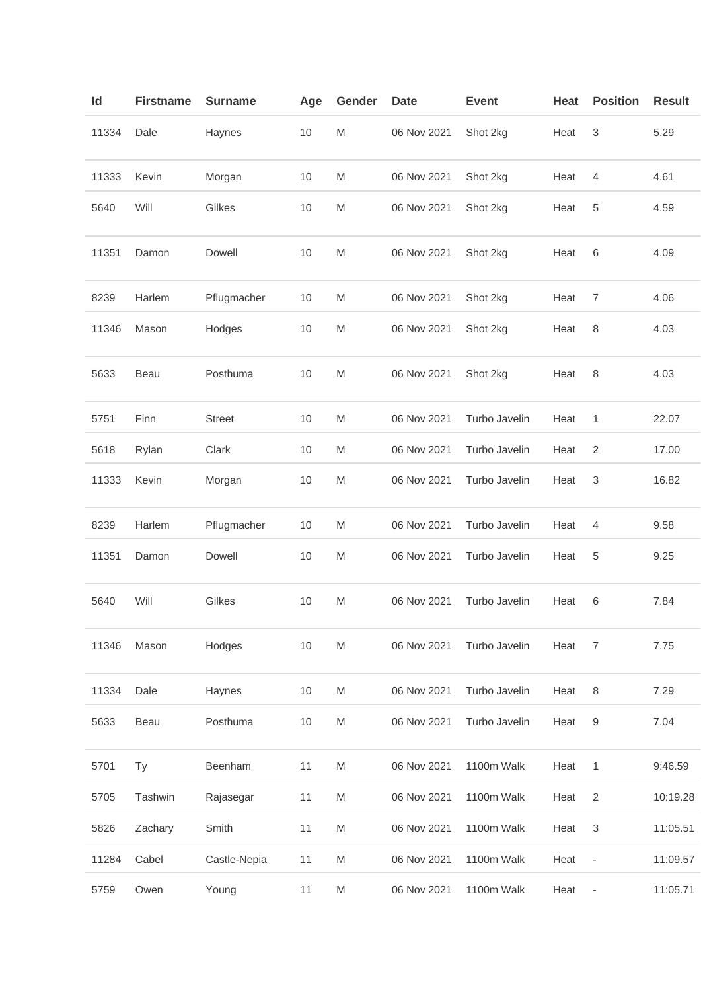| ld    | <b>Firstname</b> | <b>Surname</b> | Age  | Gender                                                                                                     | <b>Date</b> | <b>Event</b>  | Heat | <b>Position</b>              | <b>Result</b> |
|-------|------------------|----------------|------|------------------------------------------------------------------------------------------------------------|-------------|---------------|------|------------------------------|---------------|
| 11334 | Dale             | Haynes         | 10   | M                                                                                                          | 06 Nov 2021 | Shot 2kg      | Heat | 3                            | 5.29          |
| 11333 | Kevin            | Morgan         | 10   | M                                                                                                          | 06 Nov 2021 | Shot 2kg      | Heat | 4                            | 4.61          |
| 5640  | Will             | Gilkes         | 10   | M                                                                                                          | 06 Nov 2021 | Shot 2kg      | Heat | 5                            | 4.59          |
| 11351 | Damon            | Dowell         | 10   | M                                                                                                          | 06 Nov 2021 | Shot 2kg      | Heat | 6                            | 4.09          |
| 8239  | Harlem           | Pflugmacher    | 10   | M                                                                                                          | 06 Nov 2021 | Shot 2kg      | Heat | 7                            | 4.06          |
| 11346 | Mason            | Hodges         | 10   | M                                                                                                          | 06 Nov 2021 | Shot 2kg      | Heat | 8                            | 4.03          |
| 5633  | Beau             | Posthuma       | 10   | M                                                                                                          | 06 Nov 2021 | Shot 2kg      | Heat | 8                            | 4.03          |
| 5751  | Finn             | <b>Street</b>  | 10   | M                                                                                                          | 06 Nov 2021 | Turbo Javelin | Heat | 1                            | 22.07         |
| 5618  | Rylan            | Clark          | 10   | M                                                                                                          | 06 Nov 2021 | Turbo Javelin | Heat | $\overline{2}$               | 17.00         |
| 11333 | Kevin            | Morgan         | 10   | M                                                                                                          | 06 Nov 2021 | Turbo Javelin | Heat | 3                            | 16.82         |
| 8239  | Harlem           | Pflugmacher    | $10$ | M                                                                                                          | 06 Nov 2021 | Turbo Javelin | Heat | 4                            | 9.58          |
| 11351 | Damon            | Dowell         | 10   | M                                                                                                          | 06 Nov 2021 | Turbo Javelin | Heat | 5                            | 9.25          |
| 5640  | Will             | Gilkes         | 10   | M                                                                                                          | 06 Nov 2021 | Turbo Javelin | Heat | 6                            | 7.84          |
| 11346 | Mason            | Hodges         | 10   | ${\sf M}$                                                                                                  | 06 Nov 2021 | Turbo Javelin | Heat | 7                            | 7.75          |
| 11334 | Dale             | Haynes         | 10   | M                                                                                                          | 06 Nov 2021 | Turbo Javelin | Heat | 8                            | 7.29          |
| 5633  | Beau             | Posthuma       | 10   | $\mathsf{M}% _{T}=\mathsf{M}_{T}\!\left( a,b\right) ,\ \mathsf{M}_{T}=\mathsf{M}_{T}\!\left( a,b\right) ,$ | 06 Nov 2021 | Turbo Javelin | Heat | 9                            | 7.04          |
| 5701  | Ty               | Beenham        | 11   | M                                                                                                          | 06 Nov 2021 | 1100m Walk    | Heat | 1                            | 9:46.59       |
| 5705  | Tashwin          | Rajasegar      | 11   | M                                                                                                          | 06 Nov 2021 | 1100m Walk    | Heat | $\sqrt{2}$                   | 10:19.28      |
| 5826  | Zachary          | Smith          | 11   | M                                                                                                          | 06 Nov 2021 | 1100m Walk    | Heat | 3                            | 11:05.51      |
| 11284 | Cabel            | Castle-Nepia   | 11   | M                                                                                                          | 06 Nov 2021 | 1100m Walk    | Heat | $\qquad \qquad -$            | 11:09.57      |
| 5759  | Owen             | Young          | 11   | M                                                                                                          | 06 Nov 2021 | 1100m Walk    | Heat | $\qquad \qquad \blacksquare$ | 11:05.71      |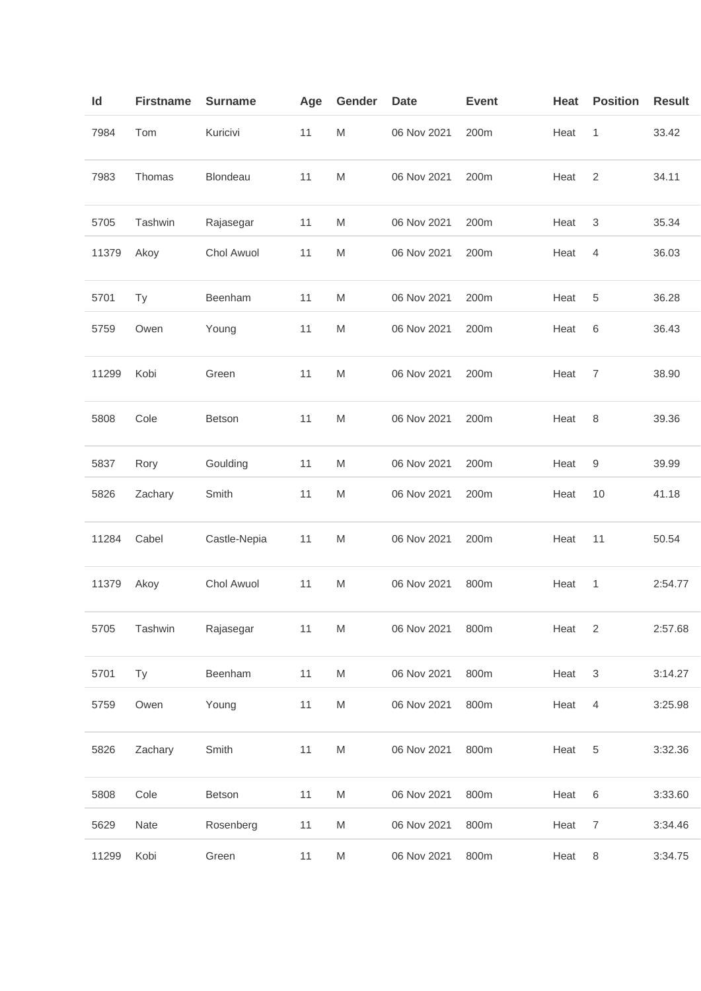| Id    | <b>Firstname</b> | <b>Surname</b> | Age | Gender    | <b>Date</b> | <b>Event</b> | Heat | <b>Position</b>           | <b>Result</b> |
|-------|------------------|----------------|-----|-----------|-------------|--------------|------|---------------------------|---------------|
| 7984  | Tom              | Kuricivi       | 11  | ${\sf M}$ | 06 Nov 2021 | 200m         | Heat | 1                         | 33.42         |
| 7983  | Thomas           | Blondeau       | 11  | M         | 06 Nov 2021 | 200m         | Heat | $\overline{2}$            | 34.11         |
| 5705  | Tashwin          | Rajasegar      | 11  | M         | 06 Nov 2021 | 200m         | Heat | 3                         | 35.34         |
| 11379 | Akoy             | Chol Awuol     | 11  | M         | 06 Nov 2021 | 200m         | Heat | 4                         | 36.03         |
| 5701  | <b>Ty</b>        | Beenham        | 11  | M         | 06 Nov 2021 | 200m         | Heat | 5                         | 36.28         |
| 5759  | Owen             | Young          | 11  | M         | 06 Nov 2021 | 200m         | Heat | 6                         | 36.43         |
| 11299 | Kobi             | Green          | 11  | M         | 06 Nov 2021 | 200m         | Heat | $\overline{7}$            | 38.90         |
| 5808  | Cole             | Betson         | 11  | ${\sf M}$ | 06 Nov 2021 | 200m         | Heat | 8                         | 39.36         |
| 5837  | Rory             | Goulding       | 11  | M         | 06 Nov 2021 | 200m         | Heat | 9                         | 39.99         |
| 5826  | Zachary          | Smith          | 11  | M         | 06 Nov 2021 | 200m         | Heat | 10                        | 41.18         |
| 11284 | Cabel            | Castle-Nepia   | 11  | M         | 06 Nov 2021 | 200m         | Heat | 11                        | 50.54         |
| 11379 | Akoy             | Chol Awuol     | 11  | M         | 06 Nov 2021 | 800m         | Heat | 1                         | 2:54.77       |
| 5705  | Tashwin          | Rajasegar      | 11  | ${\sf M}$ | 06 Nov 2021 | 800m         | Heat | $\overline{2}$            | 2:57.68       |
| 5701  | <b>Ty</b>        | Beenham        | 11  | M         | 06 Nov 2021 | 800m         | Heat | $\ensuremath{\mathsf{3}}$ | 3:14.27       |
| 5759  | Owen             | Young          | 11  | M         | 06 Nov 2021 | 800m         | Heat | $\overline{4}$            | 3:25.98       |
| 5826  | Zachary          | Smith          | 11  | ${\sf M}$ | 06 Nov 2021 | 800m         | Heat | $\sqrt{5}$                | 3:32.36       |
| 5808  | Cole             | Betson         | 11  | ${\sf M}$ | 06 Nov 2021 | 800m         | Heat | 6                         | 3:33.60       |
| 5629  | Nate             | Rosenberg      | 11  | M         | 06 Nov 2021 | 800m         | Heat | $\overline{7}$            | 3:34.46       |
| 11299 | Kobi             | Green          | 11  | M         | 06 Nov 2021 | 800m         | Heat | 8                         | 3:34.75       |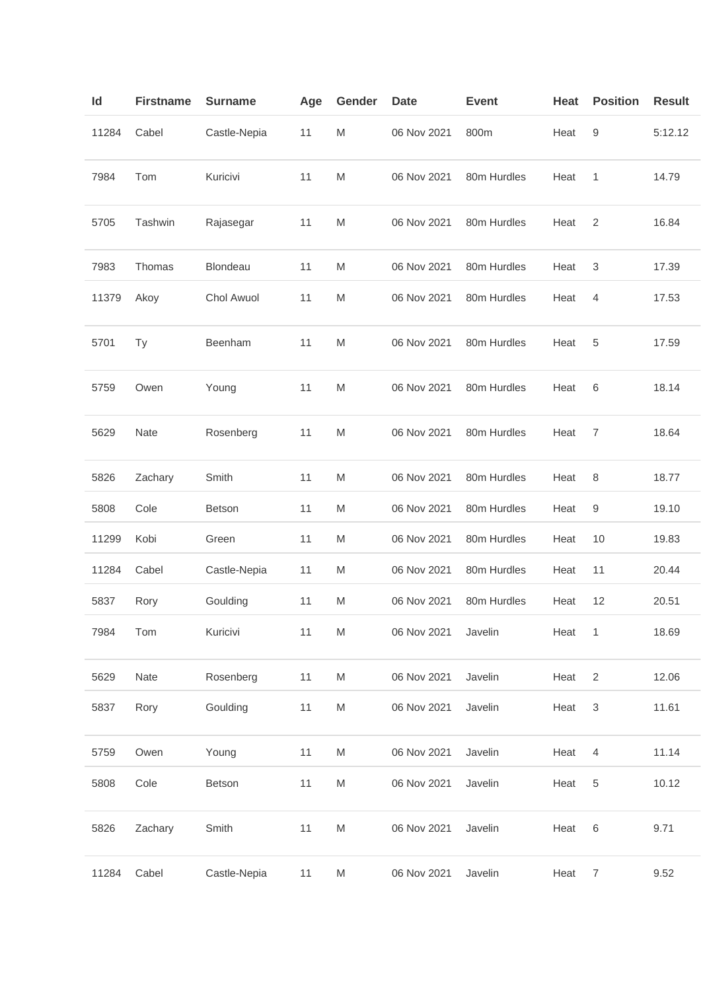| Id    | <b>Firstname</b> | <b>Surname</b> | Age | Gender | <b>Date</b> | <b>Event</b> | Heat | <b>Position</b>           | <b>Result</b> |
|-------|------------------|----------------|-----|--------|-------------|--------------|------|---------------------------|---------------|
| 11284 | Cabel            | Castle-Nepia   | 11  | M      | 06 Nov 2021 | 800m         | Heat | 9                         | 5:12.12       |
| 7984  | Tom              | Kuricivi       | 11  | M      | 06 Nov 2021 | 80m Hurdles  | Heat | 1                         | 14.79         |
| 5705  | Tashwin          | Rajasegar      | 11  | M      | 06 Nov 2021 | 80m Hurdles  | Heat | 2                         | 16.84         |
| 7983  | Thomas           | Blondeau       | 11  | M      | 06 Nov 2021 | 80m Hurdles  | Heat | 3                         | 17.39         |
| 11379 | Akoy             | Chol Awuol     | 11  | M      | 06 Nov 2021 | 80m Hurdles  | Heat | 4                         | 17.53         |
| 5701  | Ty               | Beenham        | 11  | M      | 06 Nov 2021 | 80m Hurdles  | Heat | 5                         | 17.59         |
| 5759  | Owen             | Young          | 11  | M      | 06 Nov 2021 | 80m Hurdles  | Heat | 6                         | 18.14         |
| 5629  | Nate             | Rosenberg      | 11  | M      | 06 Nov 2021 | 80m Hurdles  | Heat | 7                         | 18.64         |
| 5826  | Zachary          | Smith          | 11  | M      | 06 Nov 2021 | 80m Hurdles  | Heat | 8                         | 18.77         |
| 5808  | Cole             | Betson         | 11  | M      | 06 Nov 2021 | 80m Hurdles  | Heat | 9                         | 19.10         |
| 11299 | Kobi             | Green          | 11  | M      | 06 Nov 2021 | 80m Hurdles  | Heat | 10                        | 19.83         |
| 11284 | Cabel            | Castle-Nepia   | 11  | M      | 06 Nov 2021 | 80m Hurdles  | Heat | 11                        | 20.44         |
| 5837  | Rory             | Goulding       | 11  | M      | 06 Nov 2021 | 80m Hurdles  | Heat | 12                        | 20.51         |
| 7984  | Tom              | Kuricivi       | 11  | M      | 06 Nov 2021 | Javelin      | Heat | $\overline{1}$            | 18.69         |
| 5629  | Nate             | Rosenberg      | 11  | M      | 06 Nov 2021 | Javelin      | Heat | $\overline{2}$            | 12.06         |
| 5837  | Rory             | Goulding       | 11  | M      | 06 Nov 2021 | Javelin      | Heat | $\ensuremath{\mathsf{3}}$ | 11.61         |
| 5759  | Owen             | Young          | 11  | M      | 06 Nov 2021 | Javelin      | Heat | $\overline{4}$            | 11.14         |
| 5808  | Cole             | Betson         | 11  | M      | 06 Nov 2021 | Javelin      | Heat | $\,$ 5 $\,$               | 10.12         |
| 5826  | Zachary          | Smith          | 11  | M      | 06 Nov 2021 | Javelin      | Heat | 6                         | 9.71          |
| 11284 | Cabel            | Castle-Nepia   | 11  | M      | 06 Nov 2021 | Javelin      | Heat | $\overline{7}$            | 9.52          |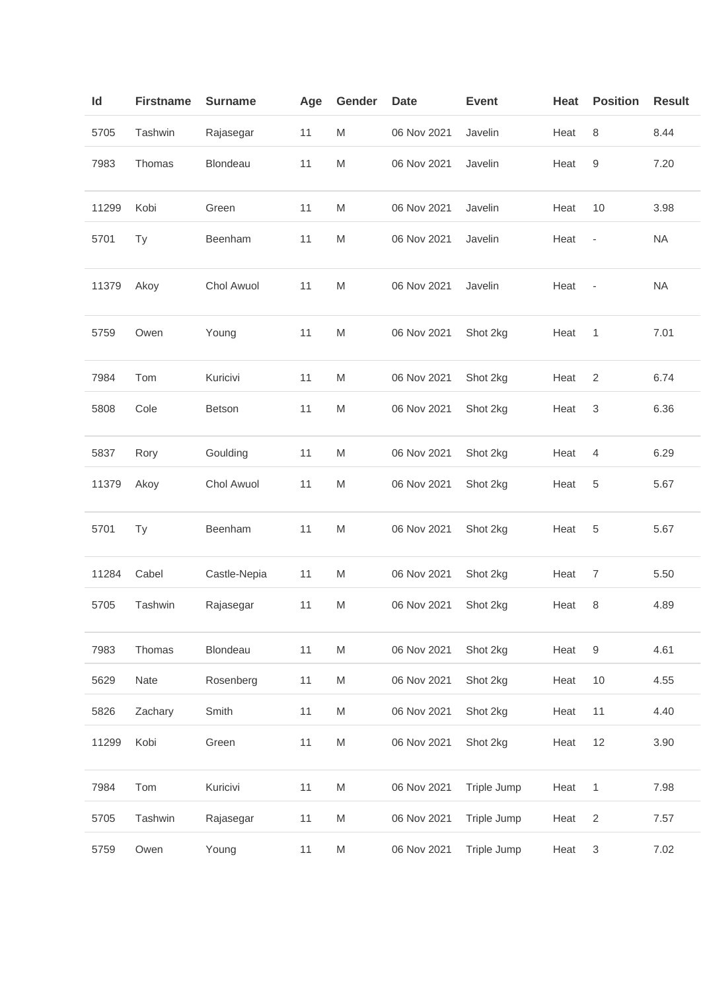| ld    | <b>Firstname</b> | <b>Surname</b> | Age | Gender    | <b>Date</b> | <b>Event</b> | Heat | <b>Position</b>          | <b>Result</b> |
|-------|------------------|----------------|-----|-----------|-------------|--------------|------|--------------------------|---------------|
| 5705  | Tashwin          | Rajasegar      | 11  | M         | 06 Nov 2021 | Javelin      | Heat | 8                        | 8.44          |
| 7983  | Thomas           | Blondeau       | 11  | M         | 06 Nov 2021 | Javelin      | Heat | 9                        | 7.20          |
| 11299 | Kobi             | Green          | 11  | M         | 06 Nov 2021 | Javelin      | Heat | 10                       | 3.98          |
| 5701  | Ty               | Beenham        | 11  | M         | 06 Nov 2021 | Javelin      | Heat | ÷                        | <b>NA</b>     |
| 11379 | Akoy             | Chol Awuol     | 11  | M         | 06 Nov 2021 | Javelin      | Heat | $\overline{\phantom{m}}$ | <b>NA</b>     |
| 5759  | Owen             | Young          | 11  | ${\sf M}$ | 06 Nov 2021 | Shot 2kg     | Heat | 1                        | 7.01          |
| 7984  | Tom              | Kuricivi       | 11  | M         | 06 Nov 2021 | Shot 2kg     | Heat | 2                        | 6.74          |
| 5808  | Cole             | Betson         | 11  | M         | 06 Nov 2021 | Shot 2kg     | Heat | 3                        | 6.36          |
| 5837  | Rory             | Goulding       | 11  | M         | 06 Nov 2021 | Shot 2kg     | Heat | 4                        | 6.29          |
| 11379 | Akoy             | Chol Awuol     | 11  | M         | 06 Nov 2021 | Shot 2kg     | Heat | 5                        | 5.67          |
| 5701  | Ty               | Beenham        | 11  | M         | 06 Nov 2021 | Shot 2kg     | Heat | 5                        | 5.67          |
| 11284 | Cabel            | Castle-Nepia   | 11  | M         | 06 Nov 2021 | Shot 2kg     | Heat | $\overline{7}$           | 5.50          |
| 5705  | Tashwin          | Rajasegar      | 11  | M         | 06 Nov 2021 | Shot 2kg     | Heat | 8                        | 4.89          |
| 7983  | Thomas           | Blondeau       | 11  | ${\sf M}$ | 06 Nov 2021 | Shot 2kg     | Heat | $\boldsymbol{9}$         | 4.61          |
| 5629  | Nate             | Rosenberg      | 11  | M         | 06 Nov 2021 | Shot 2kg     | Heat | 10                       | 4.55          |
| 5826  | Zachary          | Smith          | 11  | M         | 06 Nov 2021 | Shot 2kg     | Heat | 11                       | 4.40          |
| 11299 | Kobi             | Green          | 11  | ${\sf M}$ | 06 Nov 2021 | Shot 2kg     | Heat | 12                       | 3.90          |
| 7984  | Tom              | Kuricivi       | 11  | M         | 06 Nov 2021 | Triple Jump  | Heat | $\mathbf{1}$             | 7.98          |
| 5705  | Tashwin          | Rajasegar      | 11  | M         | 06 Nov 2021 | Triple Jump  | Heat | $\sqrt{2}$               | 7.57          |
| 5759  | Owen             | Young          | 11  | M         | 06 Nov 2021 | Triple Jump  | Heat | 3                        | 7.02          |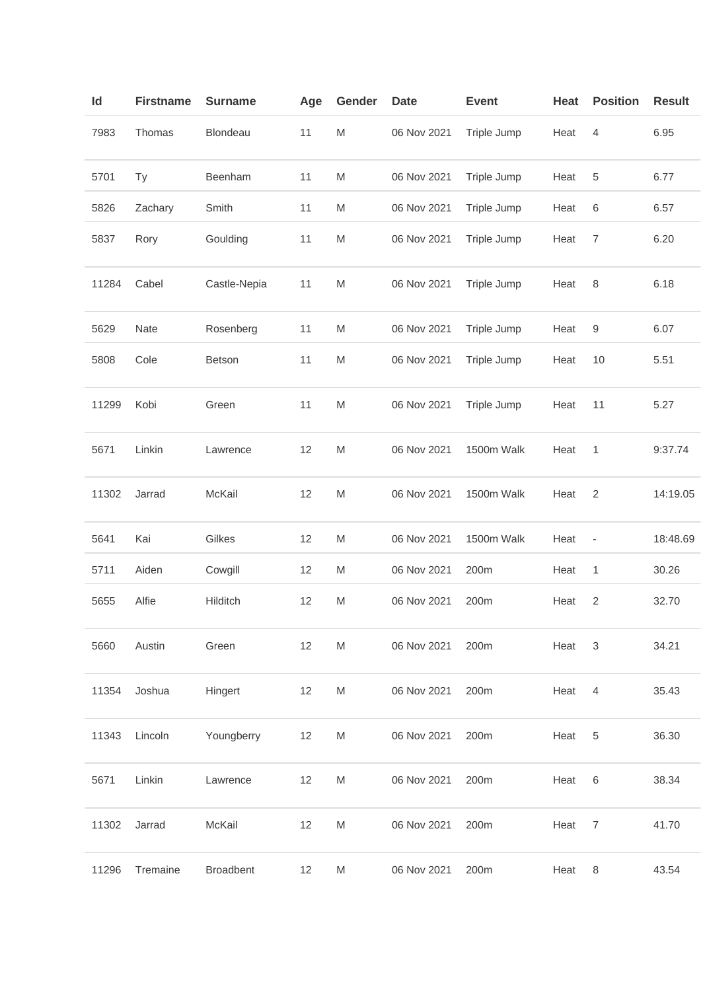| Id    | <b>Firstname</b> | <b>Surname</b>   | Age | Gender    | <b>Date</b> | <b>Event</b> | Heat | <b>Position</b>  | <b>Result</b> |
|-------|------------------|------------------|-----|-----------|-------------|--------------|------|------------------|---------------|
| 7983  | Thomas           | Blondeau         | 11  | M         | 06 Nov 2021 | Triple Jump  | Heat | 4                | 6.95          |
| 5701  | Ty               | Beenham          | 11  | ${\sf M}$ | 06 Nov 2021 | Triple Jump  | Heat | $\,$ 5 $\,$      | 6.77          |
| 5826  | Zachary          | Smith            | 11  | M         | 06 Nov 2021 | Triple Jump  | Heat | 6                | 6.57          |
| 5837  | Rory             | Goulding         | 11  | ${\sf M}$ | 06 Nov 2021 | Triple Jump  | Heat | $\overline{7}$   | 6.20          |
| 11284 | Cabel            | Castle-Nepia     | 11  | M         | 06 Nov 2021 | Triple Jump  | Heat | 8                | 6.18          |
| 5629  | Nate             | Rosenberg        | 11  | M         | 06 Nov 2021 | Triple Jump  | Heat | $\boldsymbol{9}$ | 6.07          |
| 5808  | Cole             | Betson           | 11  | M         | 06 Nov 2021 | Triple Jump  | Heat | 10               | 5.51          |
| 11299 | Kobi             | Green            | 11  | ${\sf M}$ | 06 Nov 2021 | Triple Jump  | Heat | 11               | 5.27          |
| 5671  | Linkin           | Lawrence         | 12  | M         | 06 Nov 2021 | 1500m Walk   | Heat | 1                | 9:37.74       |
| 11302 | Jarrad           | McKail           | 12  | ${\sf M}$ | 06 Nov 2021 | 1500m Walk   | Heat | $\overline{2}$   | 14:19.05      |
| 5641  | Kai              | Gilkes           | 12  | M         | 06 Nov 2021 | 1500m Walk   | Heat | ÷                | 18:48.69      |
| 5711  | Aiden            | Cowgill          | 12  | M         | 06 Nov 2021 | 200m         | Heat | 1                | 30.26         |
| 5655  | Alfie            | Hilditch         | 12  | ${\sf M}$ | 06 Nov 2021 | 200m         | Heat | $\sqrt{2}$       | 32.70         |
| 5660  | Austin           | Green            | 12  | M         | 06 Nov 2021 | 200m         | Heat | 3                | 34.21         |
| 11354 | Joshua           | Hingert          | 12  | M         | 06 Nov 2021 | 200m         | Heat | 4                | 35.43         |
| 11343 | Lincoln          | Youngberry       | 12  | M         | 06 Nov 2021 | 200m         | Heat | 5                | 36.30         |
| 5671  | Linkin           | Lawrence         | 12  | M         | 06 Nov 2021 | 200m         | Heat | 6                | 38.34         |
| 11302 | Jarrad           | McKail           | 12  | M         | 06 Nov 2021 | 200m         | Heat | 7                | 41.70         |
| 11296 | Tremaine         | <b>Broadbent</b> | 12  | M         | 06 Nov 2021 | 200m         | Heat | 8                | 43.54         |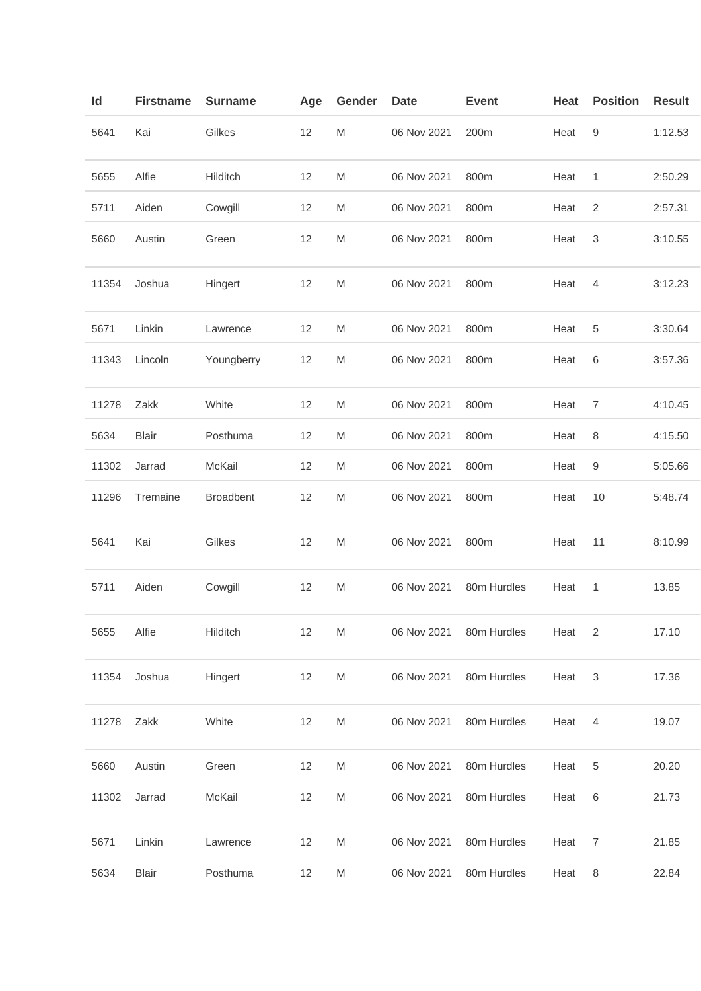| Id    | <b>Firstname</b> | <b>Surname</b>   | Age | Gender    | <b>Date</b> | <b>Event</b> | Heat | <b>Position</b> | <b>Result</b> |
|-------|------------------|------------------|-----|-----------|-------------|--------------|------|-----------------|---------------|
| 5641  | Kai              | Gilkes           | 12  | M         | 06 Nov 2021 | 200m         | Heat | 9               | 1:12.53       |
| 5655  | Alfie            | Hilditch         | 12  | M         | 06 Nov 2021 | 800m         | Heat | 1               | 2:50.29       |
| 5711  | Aiden            | Cowgill          | 12  | M         | 06 Nov 2021 | 800m         | Heat | $\overline{2}$  | 2:57.31       |
| 5660  | Austin           | Green            | 12  | M         | 06 Nov 2021 | 800m         | Heat | 3               | 3:10.55       |
| 11354 | Joshua           | Hingert          | 12  | M         | 06 Nov 2021 | 800m         | Heat | 4               | 3:12.23       |
| 5671  | Linkin           | Lawrence         | 12  | M         | 06 Nov 2021 | 800m         | Heat | 5               | 3:30.64       |
| 11343 | Lincoln          | Youngberry       | 12  | M         | 06 Nov 2021 | 800m         | Heat | 6               | 3:57.36       |
| 11278 | Zakk             | White            | 12  | ${\sf M}$ | 06 Nov 2021 | 800m         | Heat | $\overline{7}$  | 4:10.45       |
| 5634  | <b>Blair</b>     | Posthuma         | 12  | M         | 06 Nov 2021 | 800m         | Heat | 8               | 4:15.50       |
| 11302 | Jarrad           | McKail           | 12  | M         | 06 Nov 2021 | 800m         | Heat | 9               | 5:05.66       |
| 11296 | Tremaine         | <b>Broadbent</b> | 12  | M         | 06 Nov 2021 | 800m         | Heat | 10              | 5:48.74       |
| 5641  | Kai              | Gilkes           | 12  | M         | 06 Nov 2021 | 800m         | Heat | 11              | 8:10.99       |
| 5711  | Aiden            | Cowgill          | 12  | M         | 06 Nov 2021 | 80m Hurdles  | Heat | 1               | 13.85         |
| 5655  | Alfie            | Hilditch         | 12  | M         | 06 Nov 2021 | 80m Hurdles  | Heat | 2               | 17.10         |
| 11354 | Joshua           | Hingert          | 12  | M         | 06 Nov 2021 | 80m Hurdles  | Heat | 3               | 17.36         |
| 11278 | Zakk             | White            | 12  | M         | 06 Nov 2021 | 80m Hurdles  | Heat | 4               | 19.07         |
| 5660  | Austin           | Green            | 12  | M         | 06 Nov 2021 | 80m Hurdles  | Heat | 5               | 20.20         |
| 11302 | Jarrad           | McKail           | 12  | M         | 06 Nov 2021 | 80m Hurdles  | Heat | 6               | 21.73         |
| 5671  | Linkin           | Lawrence         | 12  | M         | 06 Nov 2021 | 80m Hurdles  | Heat | 7               | 21.85         |
| 5634  | Blair            | Posthuma         | 12  | M         | 06 Nov 2021 | 80m Hurdles  | Heat | 8               | 22.84         |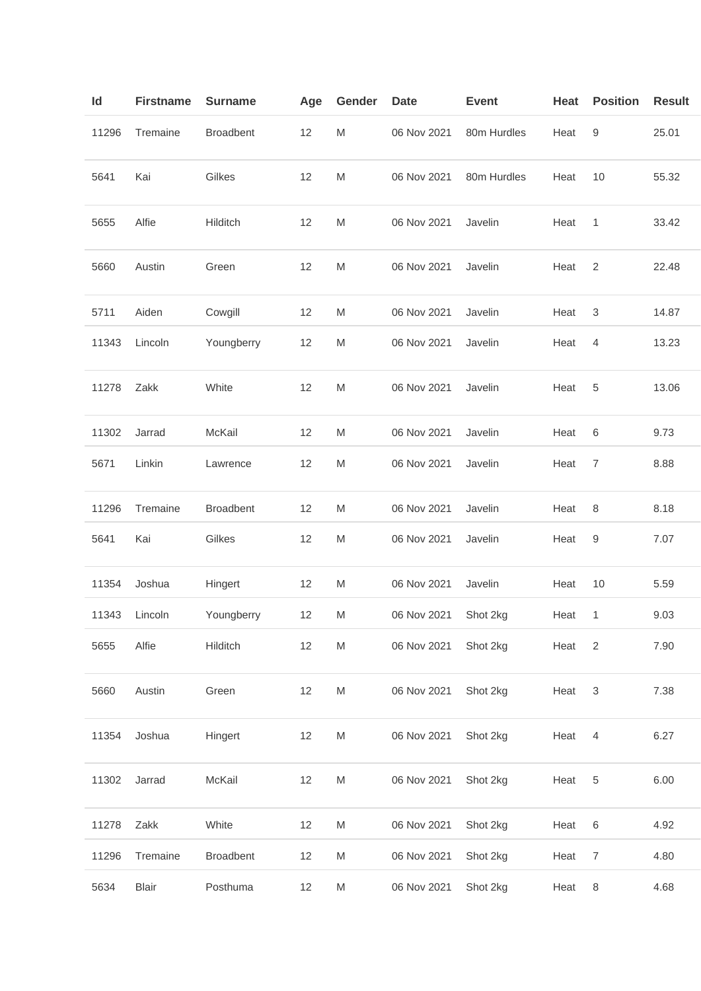| Id    | <b>Firstname</b> | <b>Surname</b>   | Age | Gender | <b>Date</b> | <b>Event</b> | Heat | <b>Position</b> | <b>Result</b> |
|-------|------------------|------------------|-----|--------|-------------|--------------|------|-----------------|---------------|
| 11296 | Tremaine         | <b>Broadbent</b> | 12  | M      | 06 Nov 2021 | 80m Hurdles  | Heat | 9               | 25.01         |
| 5641  | Kai              | Gilkes           | 12  | M      | 06 Nov 2021 | 80m Hurdles  | Heat | 10              | 55.32         |
| 5655  | Alfie            | Hilditch         | 12  | M      | 06 Nov 2021 | Javelin      | Heat | 1               | 33.42         |
| 5660  | Austin           | Green            | 12  | M      | 06 Nov 2021 | Javelin      | Heat | $\overline{2}$  | 22.48         |
| 5711  | Aiden            | Cowgill          | 12  | M      | 06 Nov 2021 | Javelin      | Heat | 3               | 14.87         |
| 11343 | Lincoln          | Youngberry       | 12  | M      | 06 Nov 2021 | Javelin      | Heat | 4               | 13.23         |
| 11278 | Zakk             | White            | 12  | M      | 06 Nov 2021 | Javelin      | Heat | 5               | 13.06         |
| 11302 | Jarrad           | McKail           | 12  | M      | 06 Nov 2021 | Javelin      | Heat | 6               | 9.73          |
| 5671  | Linkin           | Lawrence         | 12  | M      | 06 Nov 2021 | Javelin      | Heat | 7               | 8.88          |
| 11296 | Tremaine         | Broadbent        | 12  | M      | 06 Nov 2021 | Javelin      | Heat | 8               | 8.18          |
| 5641  | Kai              | Gilkes           | 12  | M      | 06 Nov 2021 | Javelin      | Heat | 9               | 7.07          |
| 11354 | Joshua           | Hingert          | 12  | M      | 06 Nov 2021 | Javelin      | Heat | 10              | 5.59          |
| 11343 | Lincoln          | Youngberry       | 12  | M      | 06 Nov 2021 | Shot 2kg     | Heat | 1               | 9.03          |
| 5655  | Alfie            | Hilditch         | 12  | M      | 06 Nov 2021 | Shot 2kg     | Heat | $\overline{2}$  | 7.90          |
| 5660  | Austin           | Green            | 12  | M      | 06 Nov 2021 | Shot 2kg     | Heat | 3               | 7.38          |
| 11354 | Joshua           | Hingert          | 12  | M      | 06 Nov 2021 | Shot 2kg     | Heat | 4               | 6.27          |
| 11302 | Jarrad           | McKail           | 12  | M      | 06 Nov 2021 | Shot 2kg     | Heat | 5               | 6.00          |
| 11278 | Zakk             | White            | 12  | M      | 06 Nov 2021 | Shot 2kg     | Heat | 6               | 4.92          |
| 11296 | Tremaine         | <b>Broadbent</b> | 12  | M      | 06 Nov 2021 | Shot 2kg     | Heat | 7               | 4.80          |
| 5634  | <b>Blair</b>     | Posthuma         | 12  | M      | 06 Nov 2021 | Shot 2kg     | Heat | 8               | 4.68          |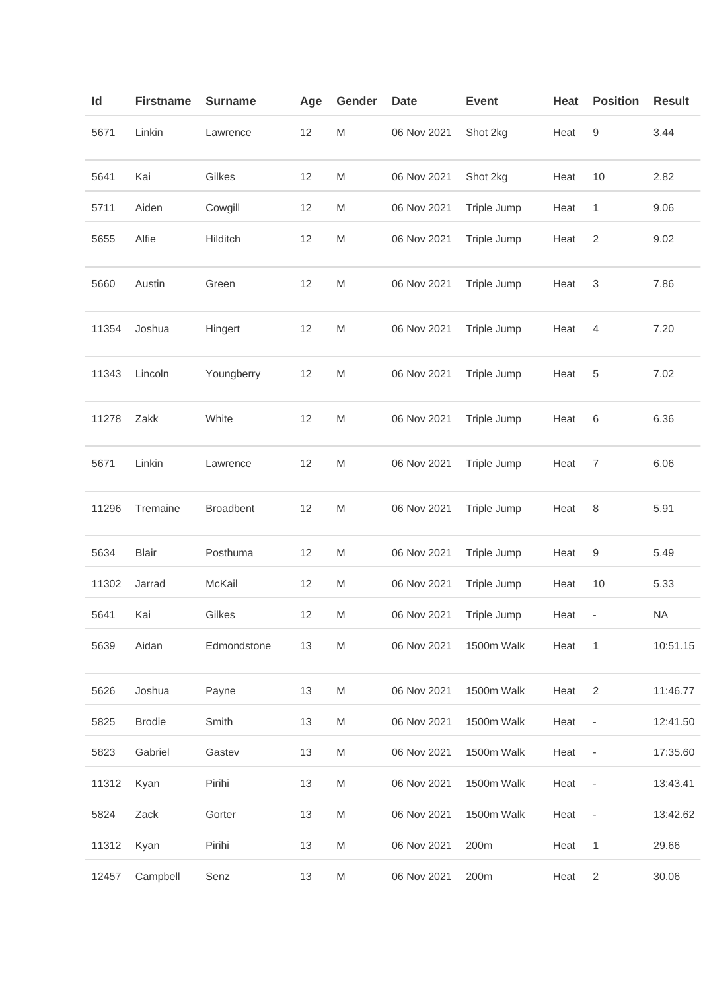| ld    | <b>Firstname</b> | <b>Surname</b>   | Age | Gender    | Date        | <b>Event</b> | Heat | <b>Position</b>              | <b>Result</b> |
|-------|------------------|------------------|-----|-----------|-------------|--------------|------|------------------------------|---------------|
| 5671  | Linkin           | Lawrence         | 12  | M         | 06 Nov 2021 | Shot 2kg     | Heat | 9                            | 3.44          |
| 5641  | Kai              | Gilkes           | 12  | M         | 06 Nov 2021 | Shot 2kg     | Heat | 10                           | 2.82          |
| 5711  | Aiden            | Cowgill          | 12  | M         | 06 Nov 2021 | Triple Jump  | Heat | $\mathbf{1}$                 | 9.06          |
| 5655  | Alfie            | Hilditch         | 12  | M         | 06 Nov 2021 | Triple Jump  | Heat | $\overline{c}$               | 9.02          |
| 5660  | Austin           | Green            | 12  | M         | 06 Nov 2021 | Triple Jump  | Heat | $\sqrt{3}$                   | 7.86          |
| 11354 | Joshua           | Hingert          | 12  | M         | 06 Nov 2021 | Triple Jump  | Heat | $\overline{4}$               | 7.20          |
| 11343 | Lincoln          | Youngberry       | 12  | M         | 06 Nov 2021 | Triple Jump  | Heat | 5                            | 7.02          |
| 11278 | Zakk             | White            | 12  | ${\sf M}$ | 06 Nov 2021 | Triple Jump  | Heat | 6                            | 6.36          |
| 5671  | Linkin           | Lawrence         | 12  | ${\sf M}$ | 06 Nov 2021 | Triple Jump  | Heat | 7                            | 6.06          |
| 11296 | Tremaine         | <b>Broadbent</b> | 12  | M         | 06 Nov 2021 | Triple Jump  | Heat | 8                            | 5.91          |
| 5634  | <b>Blair</b>     | Posthuma         | 12  | M         | 06 Nov 2021 | Triple Jump  | Heat | 9                            | 5.49          |
| 11302 | Jarrad           | McKail           | 12  | M         | 06 Nov 2021 | Triple Jump  | Heat | 10                           | 5.33          |
| 5641  | Kai              | Gilkes           | 12  | M         | 06 Nov 2021 | Triple Jump  | Heat | -                            | <b>NA</b>     |
| 5639  | Aidan            | Edmondstone      | 13  | M         | 06 Nov 2021 | 1500m Walk   | Heat | 1                            | 10:51.15      |
| 5626  | Joshua           | Payne            | 13  | M         | 06 Nov 2021 | 1500m Walk   | Heat | $\overline{2}$               | 11:46.77      |
| 5825  | <b>Brodie</b>    | Smith            | 13  | M         | 06 Nov 2021 | 1500m Walk   | Heat | $\qquad \qquad \blacksquare$ | 12:41.50      |
| 5823  | Gabriel          | Gastev           | 13  | M         | 06 Nov 2021 | 1500m Walk   | Heat | $\overline{\phantom{a}}$     | 17:35.60      |
| 11312 | Kyan             | Pirihi           | 13  | M         | 06 Nov 2021 | 1500m Walk   | Heat | $\qquad \qquad \blacksquare$ | 13:43.41      |
| 5824  | Zack             | Gorter           | 13  | M         | 06 Nov 2021 | 1500m Walk   | Heat | $\qquad \qquad -$            | 13:42.62      |
| 11312 | Kyan             | Pirihi           | 13  | M         | 06 Nov 2021 | 200m         | Heat | 1                            | 29.66         |
| 12457 | Campbell         | Senz             | 13  | M         | 06 Nov 2021 | 200m         | Heat | $\overline{2}$               | 30.06         |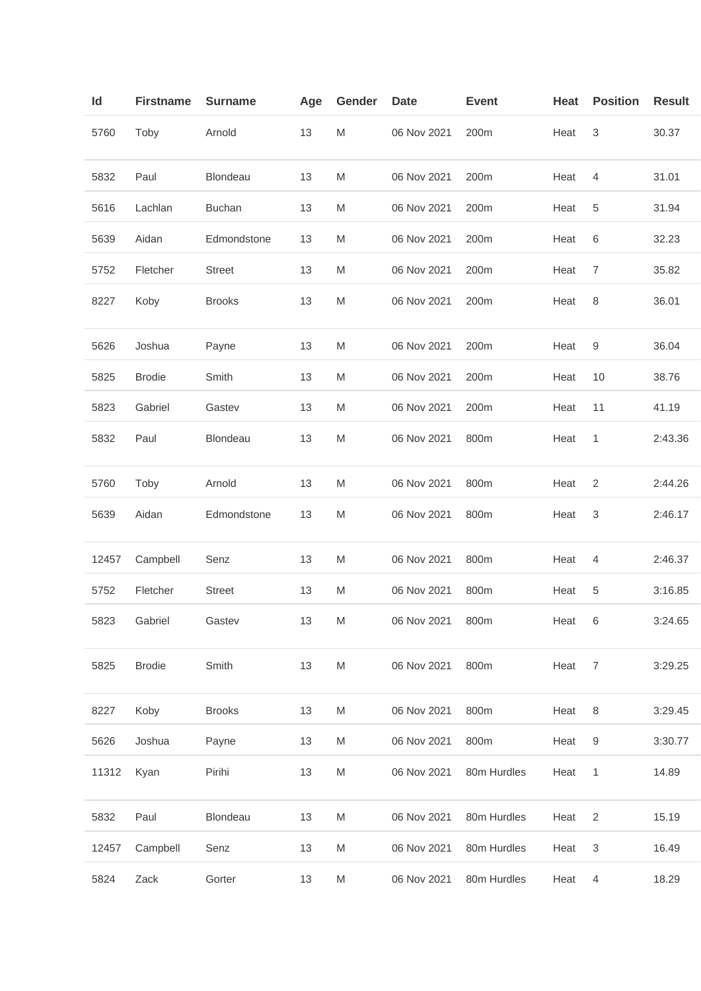| ld    | <b>Firstname</b> | <b>Surname</b>  | Age | Gender                                                                                | <b>Date</b> | <b>Event</b> | Heat | <b>Position</b> | <b>Result</b> |
|-------|------------------|-----------------|-----|---------------------------------------------------------------------------------------|-------------|--------------|------|-----------------|---------------|
| 5760  | Toby             | Arnold          | 13  | M                                                                                     | 06 Nov 2021 | 200m         | Heat | 3               | 30.37         |
| 5832  | Paul             | Blondeau        | 13  | M                                                                                     | 06 Nov 2021 | 200m         | Heat | 4               | 31.01         |
| 5616  | Lachlan          | <b>Buchan</b>   | 13  | M                                                                                     | 06 Nov 2021 | 200m         | Heat | 5               | 31.94         |
| 5639  | Aidan            | Edmondstone     | 13  | M                                                                                     | 06 Nov 2021 | 200m         | Heat | 6               | 32.23         |
| 5752  | Fletcher         | <b>Street</b>   | 13  | M                                                                                     | 06 Nov 2021 | 200m         | Heat | 7               | 35.82         |
| 8227  | Koby             | <b>Brooks</b>   | 13  | M                                                                                     | 06 Nov 2021 | 200m         | Heat | 8               | 36.01         |
| 5626  | Joshua           | Payne           | 13  | M                                                                                     | 06 Nov 2021 | 200m         | Heat | 9               | 36.04         |
| 5825  | <b>Brodie</b>    | Smith           | 13  | M                                                                                     | 06 Nov 2021 | 200m         | Heat | 10              | 38.76         |
| 5823  | Gabriel          | Gastev          | 13  | M                                                                                     | 06 Nov 2021 | 200m         | Heat | 11              | 41.19         |
| 5832  | Paul             | <b>Blondeau</b> | 13  | M                                                                                     | 06 Nov 2021 | 800m         | Heat | 1               | 2:43.36       |
| 5760  | Toby             | Arnold          | 13  | M                                                                                     | 06 Nov 2021 | 800m         | Heat | 2               | 2:44.26       |
| 5639  | Aidan            | Edmondstone     | 13  | M                                                                                     | 06 Nov 2021 | 800m         | Heat | 3               | 2:46.17       |
| 12457 | Campbell         | Senz            | 13  | M                                                                                     | 06 Nov 2021 | 800m         | Heat | 4               | 2:46.37       |
| 5752  | Fletcher         | <b>Street</b>   | 13  | M                                                                                     | 06 Nov 2021 | 800m         | Heat | 5               | 3:16.85       |
| 5823  | Gabriel          | Gastev          | 13  | M                                                                                     | 06 Nov 2021 | 800m         | Heat | 6               | 3:24.65       |
| 5825  | <b>Brodie</b>    | Smith           | 13  | ${\sf M}$                                                                             | 06 Nov 2021 | 800m         | Heat | $\overline{7}$  | 3:29.25       |
| 8227  | Koby             | <b>Brooks</b>   | 13  | $\mathsf{M}% _{T}=\mathsf{M}_{T}\!\left( a,b\right) ,\ \mathsf{M}_{T}=\mathsf{M}_{T}$ | 06 Nov 2021 | 800m         | Heat | 8               | 3:29.45       |
| 5626  | Joshua           | Payne           | 13  | M                                                                                     | 06 Nov 2021 | 800m         | Heat | 9               | 3:30.77       |
| 11312 | Kyan             | Pirihi          | 13  | M                                                                                     | 06 Nov 2021 | 80m Hurdles  | Heat | 1               | 14.89         |
| 5832  | Paul             | Blondeau        | 13  | M                                                                                     | 06 Nov 2021 | 80m Hurdles  | Heat | $\overline{2}$  | 15.19         |
| 12457 | Campbell         | Senz            | 13  | M                                                                                     | 06 Nov 2021 | 80m Hurdles  | Heat | 3               | 16.49         |
| 5824  | Zack             | Gorter          | 13  | ${\sf M}$                                                                             | 06 Nov 2021 | 80m Hurdles  | Heat | $\overline{4}$  | 18.29         |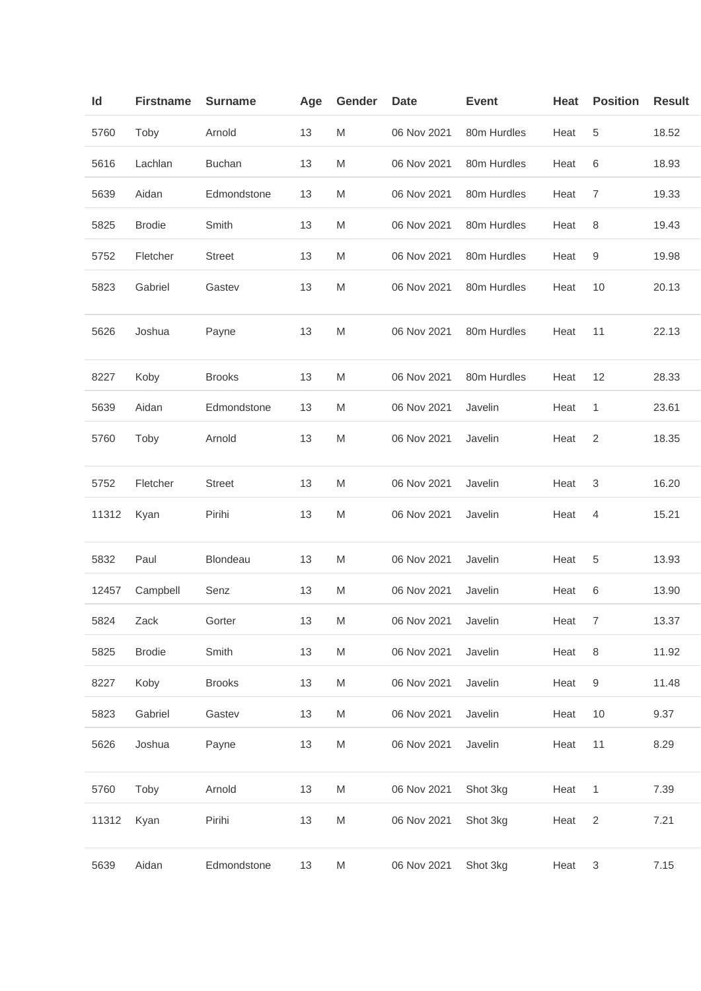| Id    | <b>Firstname</b> | <b>Surname</b> | Age | Gender    | <b>Date</b> | <b>Event</b> | Heat | <b>Position</b> | <b>Result</b> |
|-------|------------------|----------------|-----|-----------|-------------|--------------|------|-----------------|---------------|
| 5760  | Toby             | Arnold         | 13  | M         | 06 Nov 2021 | 80m Hurdles  | Heat | 5               | 18.52         |
| 5616  | Lachlan          | <b>Buchan</b>  | 13  | M         | 06 Nov 2021 | 80m Hurdles  | Heat | 6               | 18.93         |
| 5639  | Aidan            | Edmondstone    | 13  | M         | 06 Nov 2021 | 80m Hurdles  | Heat | 7               | 19.33         |
| 5825  | <b>Brodie</b>    | Smith          | 13  | M         | 06 Nov 2021 | 80m Hurdles  | Heat | 8               | 19.43         |
| 5752  | Fletcher         | <b>Street</b>  | 13  | M         | 06 Nov 2021 | 80m Hurdles  | Heat | 9               | 19.98         |
| 5823  | Gabriel          | Gastev         | 13  | M         | 06 Nov 2021 | 80m Hurdles  | Heat | 10              | 20.13         |
| 5626  | Joshua           | Payne          | 13  | M         | 06 Nov 2021 | 80m Hurdles  | Heat | 11              | 22.13         |
| 8227  | Koby             | <b>Brooks</b>  | 13  | M         | 06 Nov 2021 | 80m Hurdles  | Heat | 12              | 28.33         |
| 5639  | Aidan            | Edmondstone    | 13  | M         | 06 Nov 2021 | Javelin      | Heat | 1               | 23.61         |
| 5760  | Toby             | Arnold         | 13  | M         | 06 Nov 2021 | Javelin      | Heat | $\overline{2}$  | 18.35         |
| 5752  | Fletcher         | <b>Street</b>  | 13  | M         | 06 Nov 2021 | Javelin      | Heat | 3               | 16.20         |
| 11312 | Kyan             | Pirihi         | 13  | M         | 06 Nov 2021 | Javelin      | Heat | 4               | 15.21         |
| 5832  | Paul             | Blondeau       | 13  | M         | 06 Nov 2021 | Javelin      | Heat | 5               | 13.93         |
| 12457 | Campbell         | Senz           | 13  | M         | 06 Nov 2021 | Javelin      | Heat | 6               | 13.90         |
| 5824  | Zack             | Gorter         | 13  | M         | 06 Nov 2021 | Javelin      | Heat | $\overline{7}$  | 13.37         |
| 5825  | <b>Brodie</b>    | Smith          | 13  | ${\sf M}$ | 06 Nov 2021 | Javelin      | Heat | 8               | 11.92         |
| 8227  | Koby             | <b>Brooks</b>  | 13  | M         | 06 Nov 2021 | Javelin      | Heat | 9               | 11.48         |
| 5823  | Gabriel          | Gastev         | 13  | M         | 06 Nov 2021 | Javelin      | Heat | 10              | 9.37          |
| 5626  | Joshua           | Payne          | 13  | M         | 06 Nov 2021 | Javelin      | Heat | 11              | 8.29          |
| 5760  | Toby             | Arnold         | 13  | M         | 06 Nov 2021 | Shot 3kg     | Heat | 1               | 7.39          |
| 11312 | Kyan             | Pirihi         | 13  | ${\sf M}$ | 06 Nov 2021 | Shot 3kg     | Heat | $\overline{2}$  | 7.21          |
| 5639  | Aidan            | Edmondstone    | 13  | M         | 06 Nov 2021 | Shot 3kg     | Heat | 3               | 7.15          |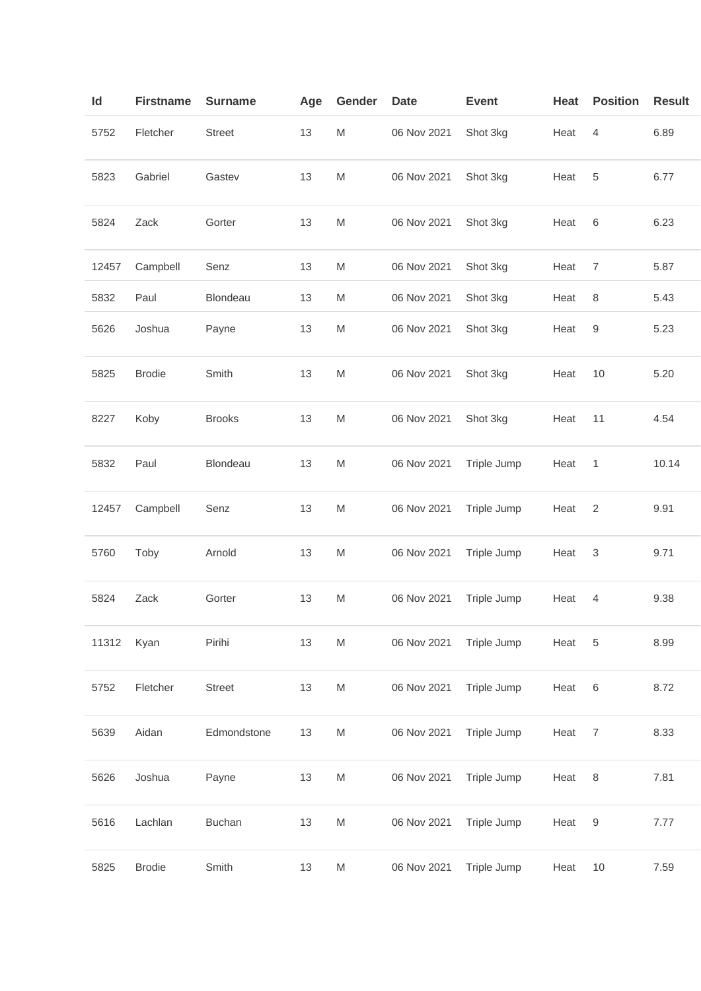| ld    | <b>Firstname</b> | <b>Surname</b> | Age | Gender                                                                                                     | <b>Date</b> | <b>Event</b> | Heat | <b>Position</b> | <b>Result</b> |
|-------|------------------|----------------|-----|------------------------------------------------------------------------------------------------------------|-------------|--------------|------|-----------------|---------------|
| 5752  | Fletcher         | <b>Street</b>  | 13  | M                                                                                                          | 06 Nov 2021 | Shot 3kg     | Heat | 4               | 6.89          |
| 5823  | Gabriel          | Gastev         | 13  | M                                                                                                          | 06 Nov 2021 | Shot 3kg     | Heat | 5               | 6.77          |
| 5824  | Zack             | Gorter         | 13  | ${\sf M}$                                                                                                  | 06 Nov 2021 | Shot 3kg     | Heat | 6               | 6.23          |
| 12457 | Campbell         | Senz           | 13  | M                                                                                                          | 06 Nov 2021 | Shot 3kg     | Heat | 7               | 5.87          |
| 5832  | Paul             | Blondeau       | 13  | M                                                                                                          | 06 Nov 2021 | Shot 3kg     | Heat | 8               | 5.43          |
| 5626  | Joshua           | Payne          | 13  | M                                                                                                          | 06 Nov 2021 | Shot 3kg     | Heat | 9               | 5.23          |
| 5825  | <b>Brodie</b>    | Smith          | 13  | ${\sf M}$                                                                                                  | 06 Nov 2021 | Shot 3kg     | Heat | 10              | 5.20          |
| 8227  | Koby             | <b>Brooks</b>  | 13  | ${\sf M}$                                                                                                  | 06 Nov 2021 | Shot 3kg     | Heat | 11              | 4.54          |
| 5832  | Paul             | Blondeau       | 13  | M                                                                                                          | 06 Nov 2021 | Triple Jump  | Heat | 1               | 10.14         |
| 12457 | Campbell         | Senz           | 13  | M                                                                                                          | 06 Nov 2021 | Triple Jump  | Heat | 2               | 9.91          |
| 5760  | Toby             | Arnold         | 13  | M                                                                                                          | 06 Nov 2021 | Triple Jump  | Heat | 3               | 9.71          |
| 5824  | Zack             | Gorter         | 13  | M                                                                                                          | 06 Nov 2021 | Triple Jump  | Heat | 4               | 9.38          |
| 11312 | Kyan             | Pirihi         | 13  | $\mathsf{M}% _{T}=\mathsf{M}_{T}\!\left( a,b\right) ,\ \mathsf{M}_{T}=\mathsf{M}_{T}\!\left( a,b\right) ,$ | 06 Nov 2021 | Triple Jump  | Heat | 5               | 8.99          |
| 5752  | Fletcher         | <b>Street</b>  | 13  | $\mathsf{M}% _{T}=\mathsf{M}_{T}\!\left( a,b\right) ,\ \mathsf{M}_{T}=\mathsf{M}_{T}\!\left( a,b\right) ,$ | 06 Nov 2021 | Triple Jump  | Heat | 6               | 8.72          |
| 5639  | Aidan            | Edmondstone    | 13  | M                                                                                                          | 06 Nov 2021 | Triple Jump  | Heat | $\overline{7}$  | 8.33          |
| 5626  | Joshua           | Payne          | 13  | $\mathsf{M}% _{T}=\mathsf{M}_{T}\!\left( a,b\right) ,\ \mathsf{M}_{T}=\mathsf{M}_{T}\!\left( a,b\right) ,$ | 06 Nov 2021 | Triple Jump  | Heat | 8               | 7.81          |
| 5616  | Lachlan          | <b>Buchan</b>  | 13  | ${\sf M}$                                                                                                  | 06 Nov 2021 | Triple Jump  | Heat | $\mathsf 9$     | 7.77          |
| 5825  | <b>Brodie</b>    | Smith          | 13  | $\mathsf{M}% _{T}=\mathsf{M}_{T}\!\left( a,b\right) ,\ \mathsf{M}_{T}=\mathsf{M}_{T}\!\left( a,b\right) ,$ | 06 Nov 2021 | Triple Jump  | Heat | $10$            | 7.59          |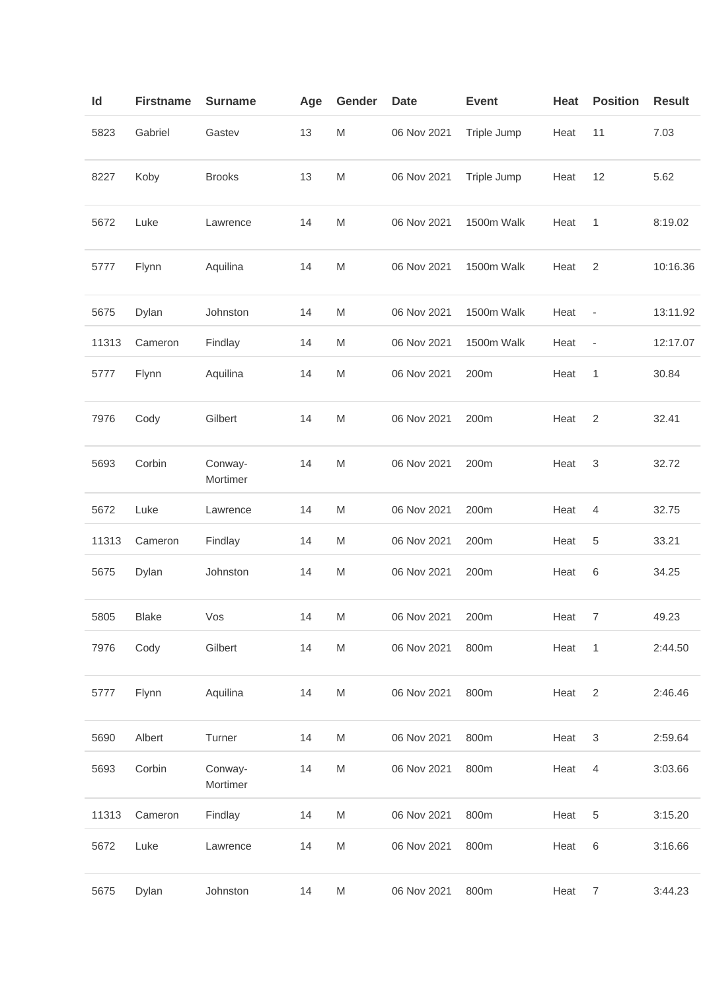| ld    | <b>Firstname</b> | <b>Surname</b>      | Age | Gender | <b>Date</b> | <b>Event</b> | Heat | <b>Position</b>              | <b>Result</b> |
|-------|------------------|---------------------|-----|--------|-------------|--------------|------|------------------------------|---------------|
| 5823  | Gabriel          | Gastev              | 13  | M      | 06 Nov 2021 | Triple Jump  | Heat | 11                           | 7.03          |
| 8227  | Koby             | <b>Brooks</b>       | 13  | M      | 06 Nov 2021 | Triple Jump  | Heat | 12                           | 5.62          |
| 5672  | Luke             | Lawrence            | 14  | M      | 06 Nov 2021 | 1500m Walk   | Heat | 1                            | 8:19.02       |
| 5777  | Flynn            | Aquilina            | 14  | M      | 06 Nov 2021 | 1500m Walk   | Heat | $\overline{2}$               | 10:16.36      |
| 5675  | Dylan            | Johnston            | 14  | M      | 06 Nov 2021 | 1500m Walk   | Heat | $\qquad \qquad \blacksquare$ | 13:11.92      |
| 11313 | Cameron          | Findlay             | 14  | M      | 06 Nov 2021 | 1500m Walk   | Heat | $\overline{\phantom{a}}$     | 12:17.07      |
| 5777  | Flynn            | Aquilina            | 14  | M      | 06 Nov 2021 | 200m         | Heat | 1                            | 30.84         |
| 7976  | Cody             | Gilbert             | 14  | M      | 06 Nov 2021 | 200m         | Heat | $\sqrt{2}$                   | 32.41         |
| 5693  | Corbin           | Conway-<br>Mortimer | 14  | M      | 06 Nov 2021 | 200m         | Heat | 3                            | 32.72         |
| 5672  | Luke             | Lawrence            | 14  | M      | 06 Nov 2021 | 200m         | Heat | 4                            | 32.75         |
| 11313 | Cameron          | Findlay             | 14  | M      | 06 Nov 2021 | 200m         | Heat | 5                            | 33.21         |
| 5675  | Dylan            | Johnston            | 14  | M      | 06 Nov 2021 | 200m         | Heat | 6                            | 34.25         |
| 5805  | <b>Blake</b>     | Vos                 | 14  | M      | 06 Nov 2021 | 200m         | Heat | 7                            | 49.23         |
| 7976  | Cody             | Gilbert             | 14  | M      | 06 Nov 2021 | 800m         | Heat | $\overline{1}$               | 2:44.50       |
| 5777  | Flynn            | Aquilina            | 14  | M      | 06 Nov 2021 | 800m         | Heat | $\overline{2}$               | 2:46.46       |
| 5690  | Albert           | Turner              | 14  | M      | 06 Nov 2021 | 800m         | Heat | $\ensuremath{\mathsf{3}}$    | 2:59.64       |
| 5693  | Corbin           | Conway-<br>Mortimer | 14  | M      | 06 Nov 2021 | 800m         | Heat | 4                            | 3:03.66       |
| 11313 | Cameron          | Findlay             | 14  | M      | 06 Nov 2021 | 800m         | Heat | 5                            | 3:15.20       |
| 5672  | Luke             | Lawrence            | 14  | M      | 06 Nov 2021 | 800m         | Heat | 6                            | 3:16.66       |
| 5675  | Dylan            | Johnston            | 14  | M      | 06 Nov 2021 | 800m         | Heat | $\overline{7}$               | 3:44.23       |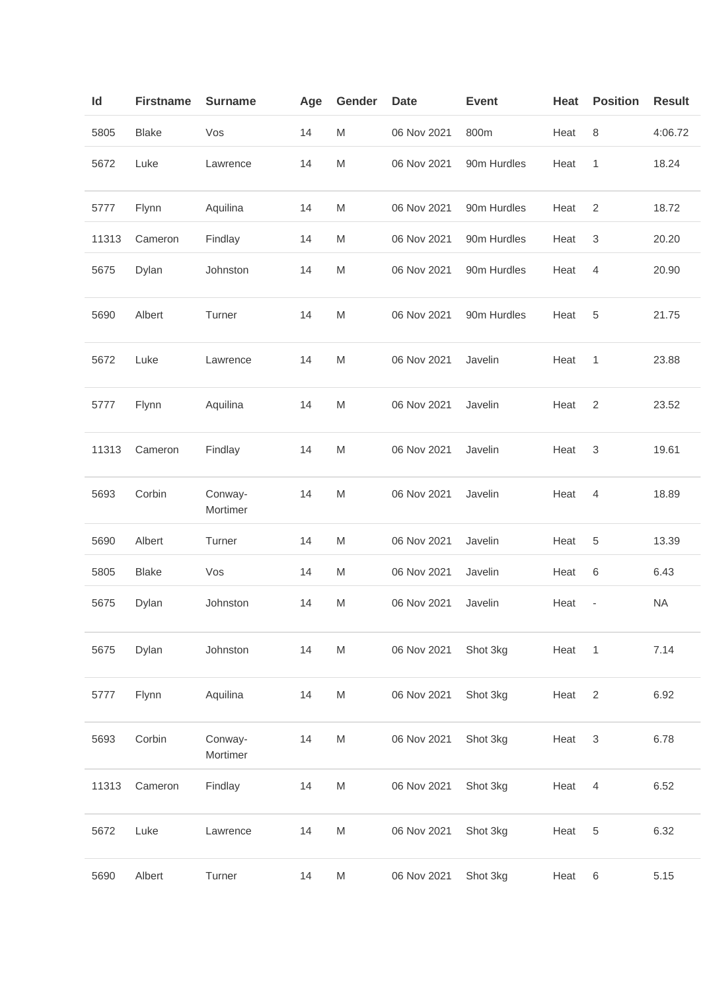| Id    | <b>Firstname</b> | <b>Surname</b>      | Age | Gender    | <b>Date</b> | <b>Event</b> | Heat | <b>Position</b>           | <b>Result</b> |
|-------|------------------|---------------------|-----|-----------|-------------|--------------|------|---------------------------|---------------|
| 5805  | <b>Blake</b>     | Vos                 | 14  | M         | 06 Nov 2021 | 800m         | Heat | 8                         | 4:06.72       |
| 5672  | Luke             | Lawrence            | 14  | M         | 06 Nov 2021 | 90m Hurdles  | Heat | 1                         | 18.24         |
| 5777  | Flynn            | Aquilina            | 14  | M         | 06 Nov 2021 | 90m Hurdles  | Heat | $\overline{2}$            | 18.72         |
| 11313 | Cameron          | Findlay             | 14  | M         | 06 Nov 2021 | 90m Hurdles  | Heat | 3                         | 20.20         |
| 5675  | Dylan            | Johnston            | 14  | M         | 06 Nov 2021 | 90m Hurdles  | Heat | 4                         | 20.90         |
| 5690  | Albert           | Turner              | 14  | M         | 06 Nov 2021 | 90m Hurdles  | Heat | 5                         | 21.75         |
| 5672  | Luke             | Lawrence            | 14  | M         | 06 Nov 2021 | Javelin      | Heat | 1                         | 23.88         |
| 5777  | Flynn            | Aquilina            | 14  | M         | 06 Nov 2021 | Javelin      | Heat | 2                         | 23.52         |
| 11313 | Cameron          | Findlay             | 14  | M         | 06 Nov 2021 | Javelin      | Heat | 3                         | 19.61         |
| 5693  | Corbin           | Conway-<br>Mortimer | 14  | M         | 06 Nov 2021 | Javelin      | Heat | 4                         | 18.89         |
| 5690  | Albert           | Turner              | 14  | M         | 06 Nov 2021 | Javelin      | Heat | 5                         | 13.39         |
| 5805  | <b>Blake</b>     | Vos                 | 14  | M         | 06 Nov 2021 | Javelin      | Heat | 6                         | 6.43          |
| 5675  | Dylan            | Johnston            | 14  | M         | 06 Nov 2021 | Javelin      | Heat | $\overline{\phantom{m}}$  | <b>NA</b>     |
| 5675  | Dylan            | Johnston            | 14  | ${\sf M}$ | 06 Nov 2021 | Shot 3kg     | Heat | $\overline{1}$            | 7.14          |
| 5777  | Flynn            | Aquilina            | 14  | ${\sf M}$ | 06 Nov 2021 | Shot 3kg     | Heat | $\sqrt{2}$                | 6.92          |
| 5693  | Corbin           | Conway-<br>Mortimer | 14  | ${\sf M}$ | 06 Nov 2021 | Shot 3kg     | Heat | $\ensuremath{\mathsf{3}}$ | 6.78          |
| 11313 | Cameron          | Findlay             | 14  | M         | 06 Nov 2021 | Shot 3kg     | Heat | 4                         | 6.52          |
| 5672  | Luke             | Lawrence            | 14  | M         | 06 Nov 2021 | Shot 3kg     | Heat | 5                         | 6.32          |
| 5690  | Albert           | Turner              | 14  | M         | 06 Nov 2021 | Shot 3kg     | Heat | 6                         | 5.15          |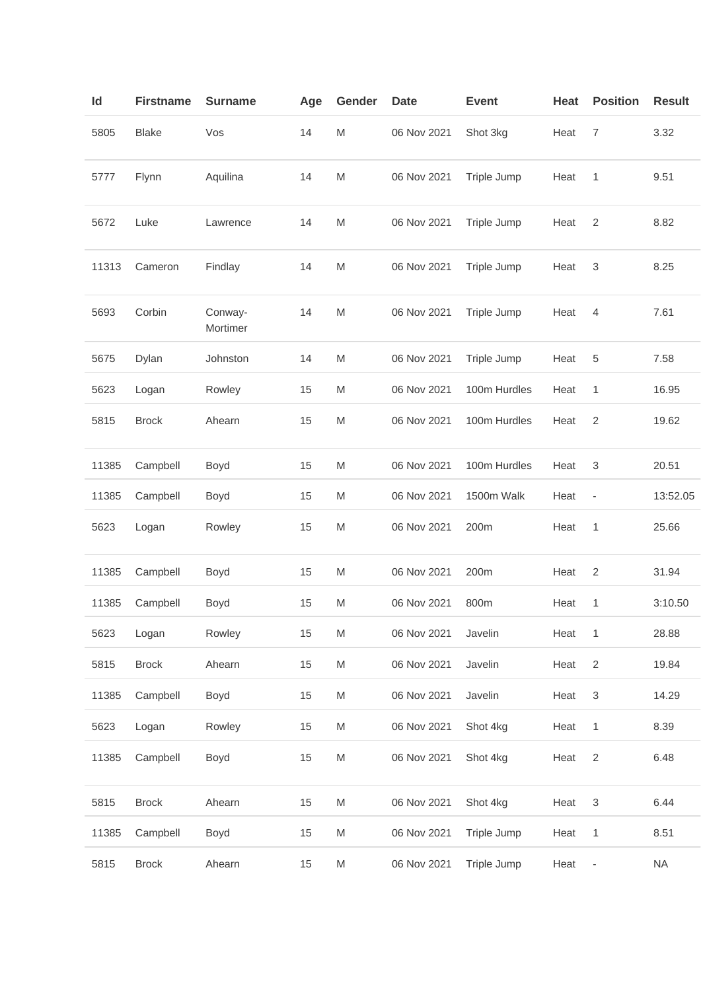| Id    | <b>Firstname</b> | <b>Surname</b>      | Age | Gender | <b>Date</b> | <b>Event</b> | Heat | <b>Position</b>           | <b>Result</b> |
|-------|------------------|---------------------|-----|--------|-------------|--------------|------|---------------------------|---------------|
| 5805  | <b>Blake</b>     | Vos                 | 14  | M      | 06 Nov 2021 | Shot 3kg     | Heat | 7                         | 3.32          |
| 5777  | Flynn            | Aquilina            | 14  | M      | 06 Nov 2021 | Triple Jump  | Heat | 1                         | 9.51          |
| 5672  | Luke             | Lawrence            | 14  | M      | 06 Nov 2021 | Triple Jump  | Heat | $\overline{2}$            | 8.82          |
| 11313 | Cameron          | Findlay             | 14  | M      | 06 Nov 2021 | Triple Jump  | Heat | 3                         | 8.25          |
| 5693  | Corbin           | Conway-<br>Mortimer | 14  | M      | 06 Nov 2021 | Triple Jump  | Heat | 4                         | 7.61          |
| 5675  | Dylan            | Johnston            | 14  | M      | 06 Nov 2021 | Triple Jump  | Heat | 5                         | 7.58          |
| 5623  | Logan            | Rowley              | 15  | M      | 06 Nov 2021 | 100m Hurdles | Heat | 1                         | 16.95         |
| 5815  | <b>Brock</b>     | Ahearn              | 15  | M      | 06 Nov 2021 | 100m Hurdles | Heat | 2                         | 19.62         |
| 11385 | Campbell         | Boyd                | 15  | M      | 06 Nov 2021 | 100m Hurdles | Heat | 3                         | 20.51         |
| 11385 | Campbell         | Boyd                | 15  | M      | 06 Nov 2021 | 1500m Walk   | Heat | $\overline{\phantom{m}}$  | 13:52.05      |
| 5623  | Logan            | Rowley              | 15  | M      | 06 Nov 2021 | 200m         | Heat | 1                         | 25.66         |
| 11385 | Campbell         | Boyd                | 15  | M      | 06 Nov 2021 | 200m         | Heat | $\overline{c}$            | 31.94         |
| 11385 | Campbell         | Boyd                | 15  | M      | 06 Nov 2021 | 800m         | Heat | 1                         | 3:10.50       |
| 5623  | Logan            | Rowley              | 15  | M      | 06 Nov 2021 | Javelin      | Heat | 1                         | 28.88         |
| 5815  | <b>Brock</b>     | Ahearn              | 15  | M      | 06 Nov 2021 | Javelin      | Heat | $\overline{2}$            | 19.84         |
| 11385 | Campbell         | Boyd                | 15  | M      | 06 Nov 2021 | Javelin      | Heat | $\ensuremath{\mathsf{3}}$ | 14.29         |
| 5623  | Logan            | Rowley              | 15  | M      | 06 Nov 2021 | Shot 4kg     | Heat | $\mathbf{1}$              | 8.39          |
| 11385 | Campbell         | Boyd                | 15  | M      | 06 Nov 2021 | Shot 4kg     | Heat | $\sqrt{2}$                | 6.48          |
| 5815  | <b>Brock</b>     | Ahearn              | 15  | M      | 06 Nov 2021 | Shot 4kg     | Heat | 3                         | 6.44          |
| 11385 | Campbell         | Boyd                | 15  | M      | 06 Nov 2021 | Triple Jump  | Heat | 1                         | 8.51          |
| 5815  | <b>Brock</b>     | Ahearn              | 15  | M      | 06 Nov 2021 | Triple Jump  | Heat | ÷                         | <b>NA</b>     |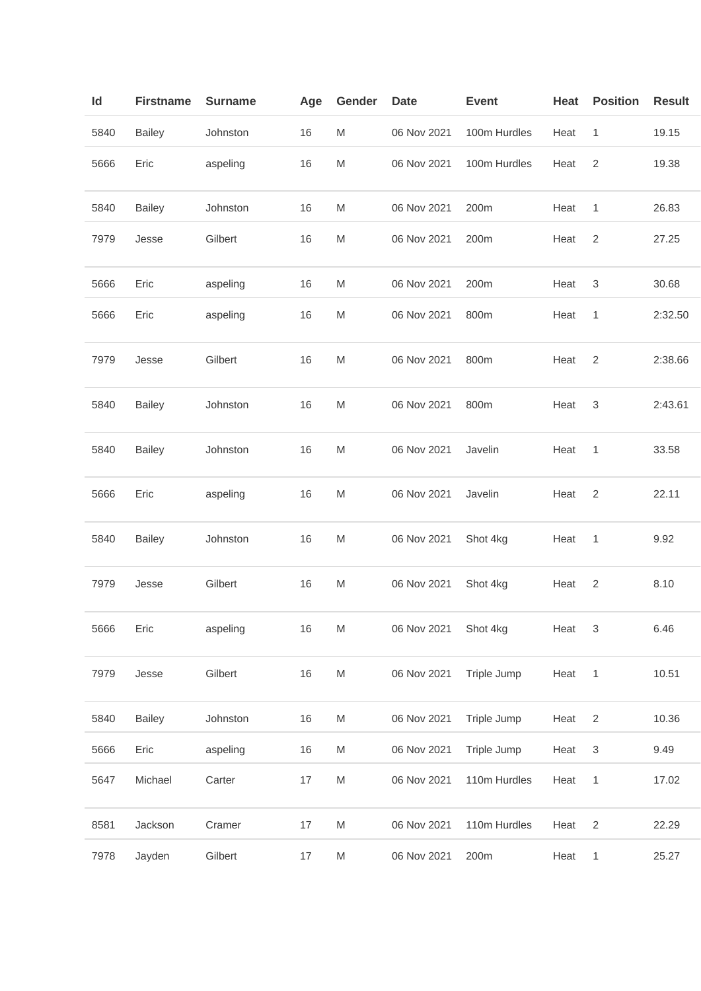| ld   | <b>Firstname</b> | <b>Surname</b> | Age | Gender                                                                                                     | Date        | <b>Event</b> | Heat | <b>Position</b> | <b>Result</b> |
|------|------------------|----------------|-----|------------------------------------------------------------------------------------------------------------|-------------|--------------|------|-----------------|---------------|
| 5840 | <b>Bailey</b>    | Johnston       | 16  | M                                                                                                          | 06 Nov 2021 | 100m Hurdles | Heat | $\mathbf{1}$    | 19.15         |
| 5666 | Eric             | aspeling       | 16  | ${\sf M}$                                                                                                  | 06 Nov 2021 | 100m Hurdles | Heat | $\sqrt{2}$      | 19.38         |
| 5840 | <b>Bailey</b>    | Johnston       | 16  | M                                                                                                          | 06 Nov 2021 | 200m         | Heat | 1               | 26.83         |
| 7979 | Jesse            | Gilbert        | 16  | M                                                                                                          | 06 Nov 2021 | 200m         | Heat | $\overline{2}$  | 27.25         |
| 5666 | Eric             | aspeling       | 16  | M                                                                                                          | 06 Nov 2021 | 200m         | Heat | 3               | 30.68         |
| 5666 | Eric             | aspeling       | 16  | M                                                                                                          | 06 Nov 2021 | 800m         | Heat | 1               | 2:32.50       |
| 7979 | Jesse            | Gilbert        | 16  | M                                                                                                          | 06 Nov 2021 | 800m         | Heat | $\overline{2}$  | 2:38.66       |
| 5840 | <b>Bailey</b>    | Johnston       | 16  | ${\sf M}$                                                                                                  | 06 Nov 2021 | 800m         | Heat | 3               | 2:43.61       |
| 5840 | <b>Bailey</b>    | Johnston       | 16  | M                                                                                                          | 06 Nov 2021 | Javelin      | Heat | $\mathbf{1}$    | 33.58         |
| 5666 | Eric             | aspeling       | 16  | M                                                                                                          | 06 Nov 2021 | Javelin      | Heat | $\overline{2}$  | 22.11         |
| 5840 | <b>Bailey</b>    | Johnston       | 16  | M                                                                                                          | 06 Nov 2021 | Shot 4kg     | Heat | 1               | 9.92          |
| 7979 | Jesse            | Gilbert        | 16  | M                                                                                                          | 06 Nov 2021 | Shot 4kg     | Heat | $\overline{c}$  | 8.10          |
| 5666 | Eric             | aspeling       | 16  | M                                                                                                          | 06 Nov 2021 | Shot 4kg     | Heat | 3               | 6.46          |
| 7979 | Jesse            | Gilbert        | 16  | $\mathsf{M}% _{T}=\mathsf{M}_{T}\!\left( a,b\right) ,\ \mathsf{M}_{T}=\mathsf{M}_{T}\!\left( a,b\right) ,$ | 06 Nov 2021 | Triple Jump  | Heat | 1               | 10.51         |
| 5840 | <b>Bailey</b>    | Johnston       | 16  | M                                                                                                          | 06 Nov 2021 | Triple Jump  | Heat | $\overline{c}$  | 10.36         |
| 5666 | Eric             | aspeling       | 16  | M                                                                                                          | 06 Nov 2021 | Triple Jump  | Heat | 3               | 9.49          |
| 5647 | Michael          | Carter         | 17  | $\mathsf{M}% _{T}=\mathsf{M}_{T}\!\left( a,b\right) ,\ \mathsf{M}_{T}=\mathsf{M}_{T}\!\left( a,b\right) ,$ | 06 Nov 2021 | 110m Hurdles | Heat | $\mathbf{1}$    | 17.02         |
| 8581 | Jackson          | Cramer         | 17  | ${\sf M}$                                                                                                  | 06 Nov 2021 | 110m Hurdles | Heat | $\sqrt{2}$      | 22.29         |
| 7978 | Jayden           | Gilbert        | 17  | M                                                                                                          | 06 Nov 2021 | 200m         | Heat | $\mathbf{1}$    | 25.27         |